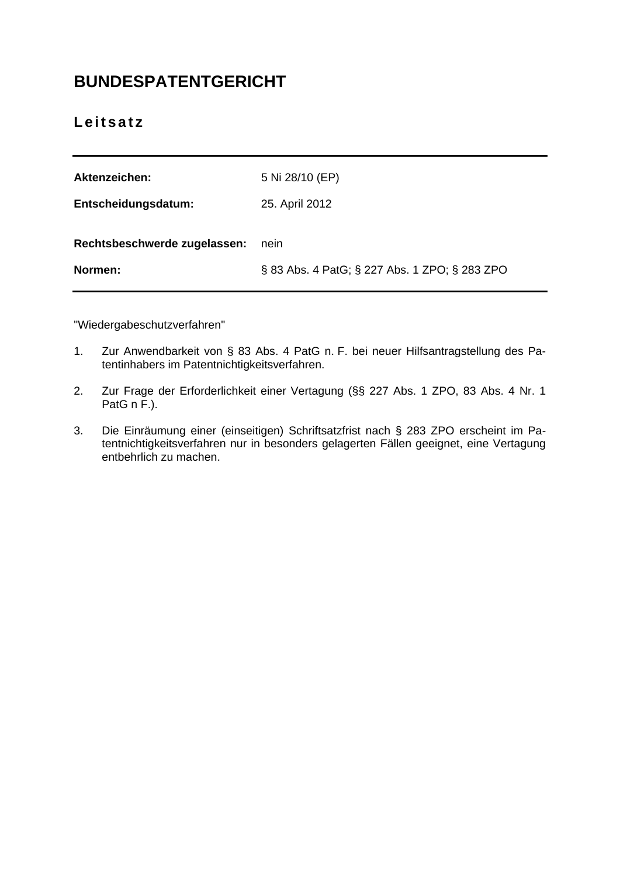# **BUNDESPATENTGERICHT**

# **Leitsatz**

| Aktenzeichen:                | 5 Ni 28/10 (EP)                               |
|------------------------------|-----------------------------------------------|
| Entscheidungsdatum:          | 25. April 2012                                |
| Rechtsbeschwerde zugelassen: | nein                                          |
| Normen:                      | § 83 Abs. 4 PatG; § 227 Abs. 1 ZPO; § 283 ZPO |

"Wiedergabeschutzverfahren"

- 1. Zur Anwendbarkeit von § 83 Abs. 4 PatG n. F. bei neuer Hilfsantragstellung des Patentinhabers im Patentnichtigkeitsverfahren.
- 2. Zur Frage der Erforderlichkeit einer Vertagung (§§ 227 Abs. 1 ZPO, 83 Abs. 4 Nr. 1 PatG n F.).
- 3. Die Einräumung einer (einseitigen) Schriftsatzfrist nach § 283 ZPO erscheint im Patentnichtigkeitsverfahren nur in besonders gelagerten Fällen geeignet, eine Vertagung entbehrlich zu machen.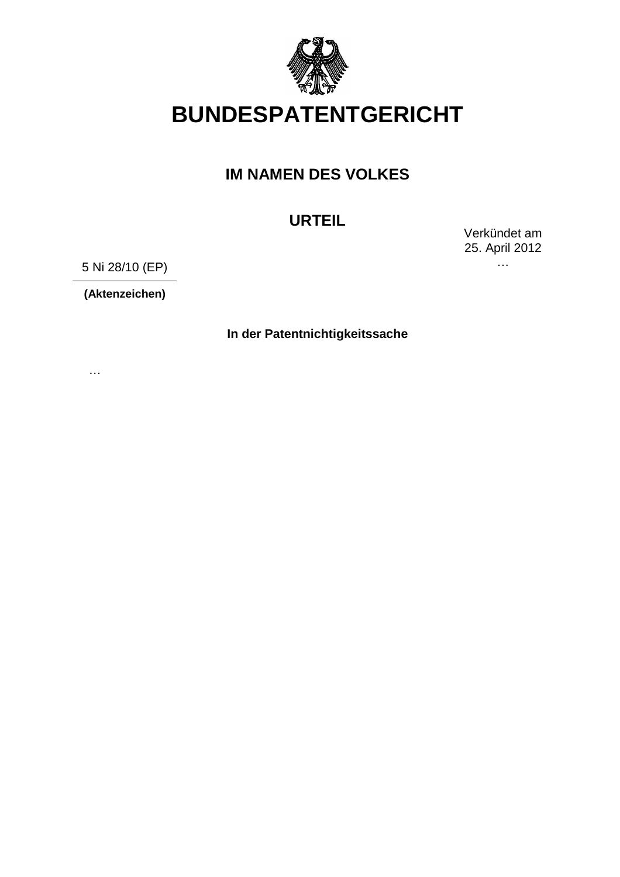

# **BUNDESPATENTGERICHT**

# **IM NAMEN DES VOLKES**

# **URTEIL**

Verkündet am 25. April 2012 …

5 Ni 28/10 (EP)

**(Aktenzeichen)**

…

**In der Patentnichtigkeitssache**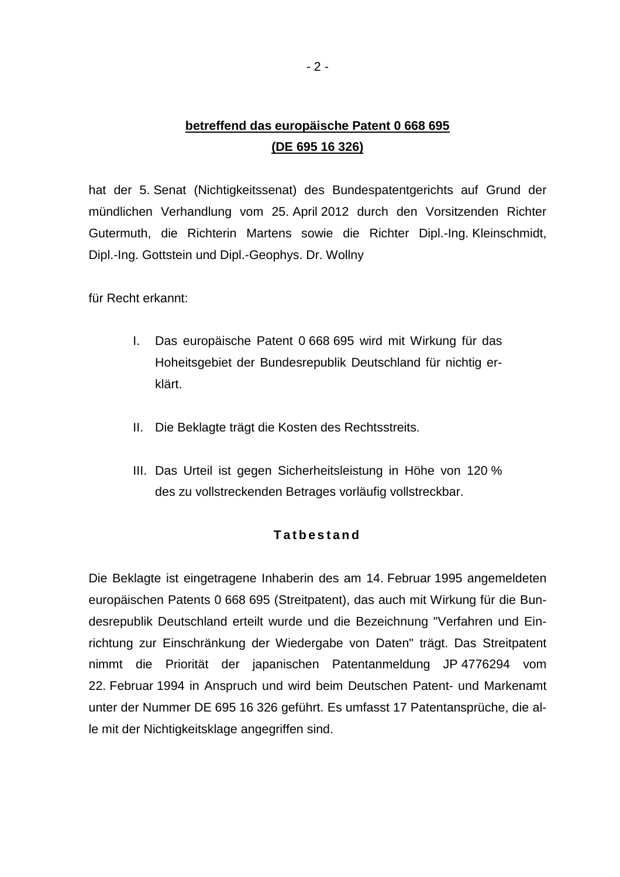# **betreffend das europäische Patent 0 668 695 (DE 695 16 326)**

hat der 5. Senat (Nichtigkeitssenat) des Bundespatentgerichts auf Grund der mündlichen Verhandlung vom 25. April 2012 durch den Vorsitzenden Richter Gutermuth, die Richterin Martens sowie die Richter Dipl.-Ing. Kleinschmidt, Dipl.-Ing. Gottstein und Dipl.-Geophys. Dr. Wollny

für Recht erkannt:

- I. Das europäische Patent 0 668 695 wird mit Wirkung für das Hoheitsgebiet der Bundesrepublik Deutschland für nichtig erklärt.
- II. Die Beklagte trägt die Kosten des Rechtsstreits.
- III. Das Urteil ist gegen Sicherheitsleistung in Höhe von 120 % des zu vollstreckenden Betrages vorläufig vollstreckbar.

## **T a t b e s t a n d**

Die Beklagte ist eingetragene Inhaberin des am 14. Februar 1995 angemeldeten europäischen Patents 0 668 695 (Streitpatent), das auch mit Wirkung für die Bundesrepublik Deutschland erteilt wurde und die Bezeichnung "Verfahren und Einrichtung zur Einschränkung der Wiedergabe von Daten" trägt. Das Streitpatent nimmt die Priorität der japanischen Patentanmeldung JP 4776294 vom 22. Februar 1994 in Anspruch und wird beim Deutschen Patent- und Markenamt unter der Nummer DE 695 16 326 geführt. Es umfasst 17 Patentansprüche, die alle mit der Nichtigkeitsklage angegriffen sind.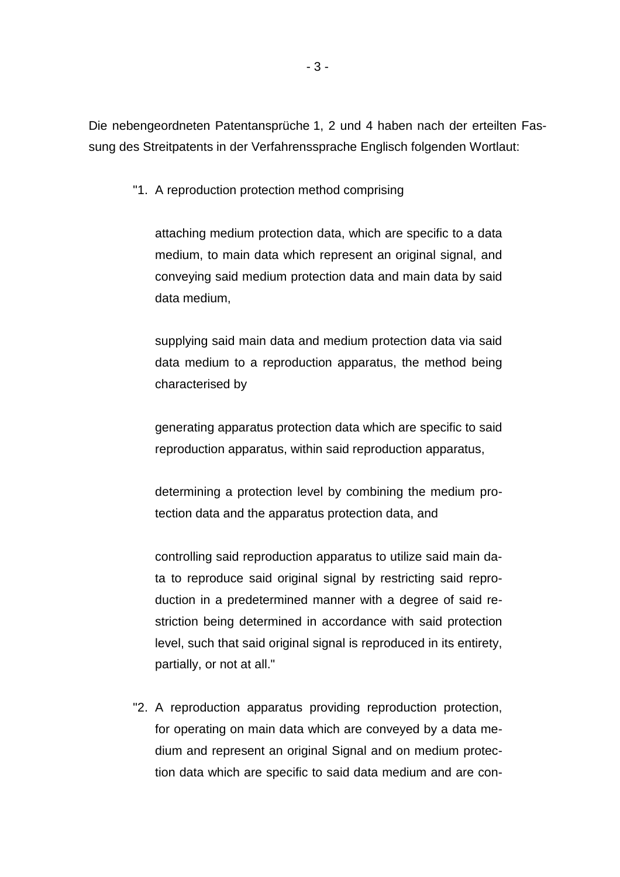Die nebengeordneten Patentansprüche 1, 2 und 4 haben nach der erteilten Fassung des Streitpatents in der Verfahrenssprache Englisch folgenden Wortlaut:

"1. A reproduction protection method comprising

attaching medium protection data, which are specific to a data medium, to main data which represent an original signal, and conveying said medium protection data and main data by said data medium,

supplying said main data and medium protection data via said data medium to a reproduction apparatus, the method being characterised by

generating apparatus protection data which are specific to said reproduction apparatus, within said reproduction apparatus,

determining a protection level by combining the medium protection data and the apparatus protection data, and

controlling said reproduction apparatus to utilize said main data to reproduce said original signal by restricting said reproduction in a predetermined manner with a degree of said restriction being determined in accordance with said protection level, such that said original signal is reproduced in its entirety, partially, or not at all."

"2. A reproduction apparatus providing reproduction protection, for operating on main data which are conveyed by a data medium and represent an original Signal and on medium protection data which are specific to said data medium and are con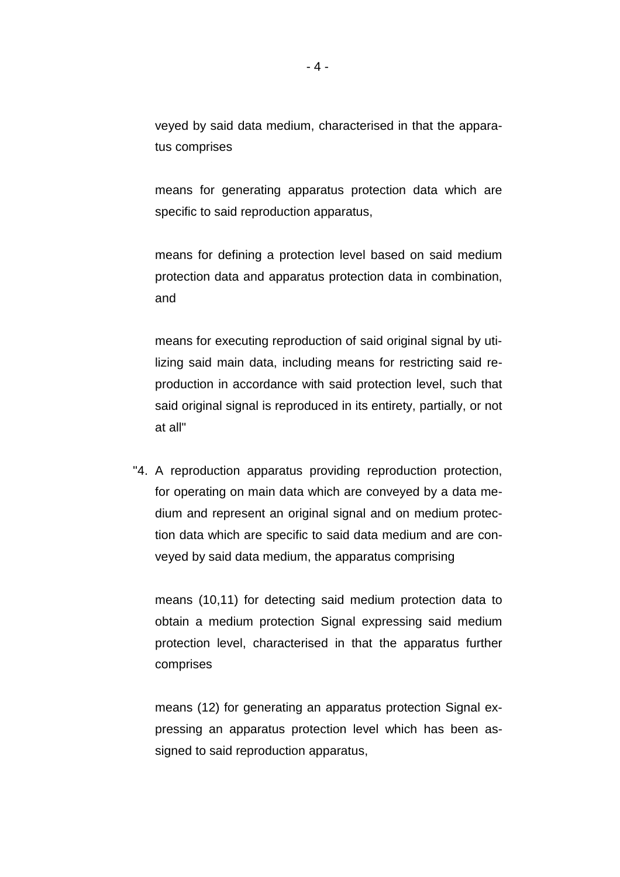veyed by said data medium, characterised in that the apparatus comprises

means for generating apparatus protection data which are specific to said reproduction apparatus,

means for defining a protection level based on said medium protection data and apparatus protection data in combination, and

means for executing reproduction of said original signal by utilizing said main data, including means for restricting said reproduction in accordance with said protection level, such that said original signal is reproduced in its entirety, partially, or not at all"

"4. A reproduction apparatus providing reproduction protection, for operating on main data which are conveyed by a data medium and represent an original signal and on medium protection data which are specific to said data medium and are conveyed by said data medium, the apparatus comprising

means (10,11) for detecting said medium protection data to obtain a medium protection Signal expressing said medium protection level, characterised in that the apparatus further comprises

means (12) for generating an apparatus protection Signal expressing an apparatus protection level which has been assigned to said reproduction apparatus,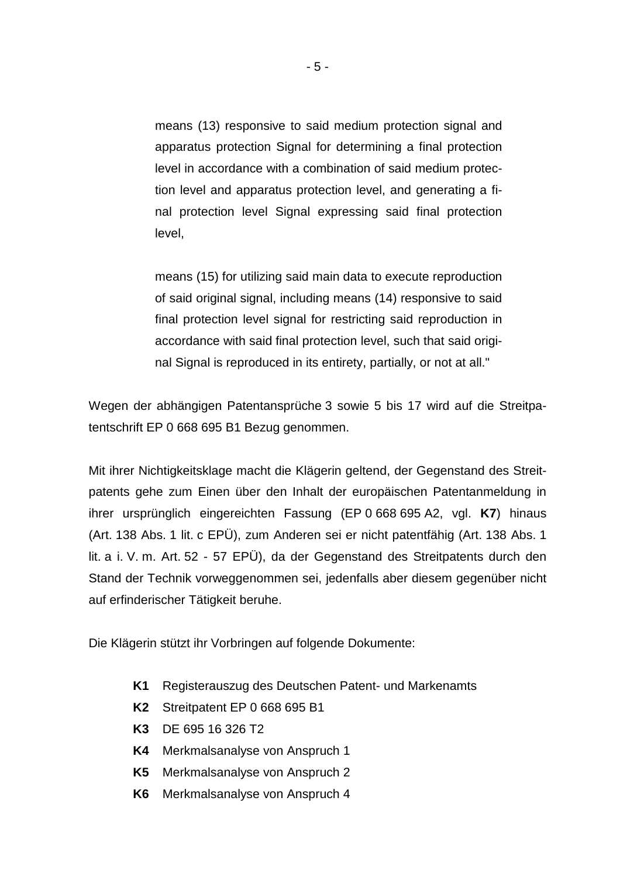means (13) responsive to said medium protection signal and apparatus protection Signal for determining a final protection level in accordance with a combination of said medium protection level and apparatus protection level, and generating a final protection level Signal expressing said final protection level,

means (15) for utilizing said main data to execute reproduction of said original signal, including means (14) responsive to said final protection level signal for restricting said reproduction in accordance with said final protection level, such that said original Signal is reproduced in its entirety, partially, or not at all."

Wegen der abhängigen Patentansprüche 3 sowie 5 bis 17 wird auf die Streitpatentschrift EP 0 668 695 B1 Bezug genommen.

Mit ihrer Nichtigkeitsklage macht die Klägerin geltend, der Gegenstand des Streitpatents gehe zum Einen über den Inhalt der europäischen Patentanmeldung in ihrer ursprünglich eingereichten Fassung (EP 0 668 695 A2, vgl. **K7**) hinaus (Art. 138 Abs. 1 lit. c EPÜ), zum Anderen sei er nicht patentfähig (Art. 138 Abs. 1 lit. a i. V. m. Art. 52 - 57 EPÜ), da der Gegenstand des Streitpatents durch den Stand der Technik vorweggenommen sei, jedenfalls aber diesem gegenüber nicht auf erfinderischer Tätigkeit beruhe.

Die Klägerin stützt ihr Vorbringen auf folgende Dokumente:

- **K1** Registerauszug des Deutschen Patent- und Markenamts
- **K2** Streitpatent EP 0 668 695 B1
- **K3** DE 695 16 326 T2
- **K4** Merkmalsanalyse von Anspruch 1
- **K5** Merkmalsanalyse von Anspruch 2
- **K6** Merkmalsanalyse von Anspruch 4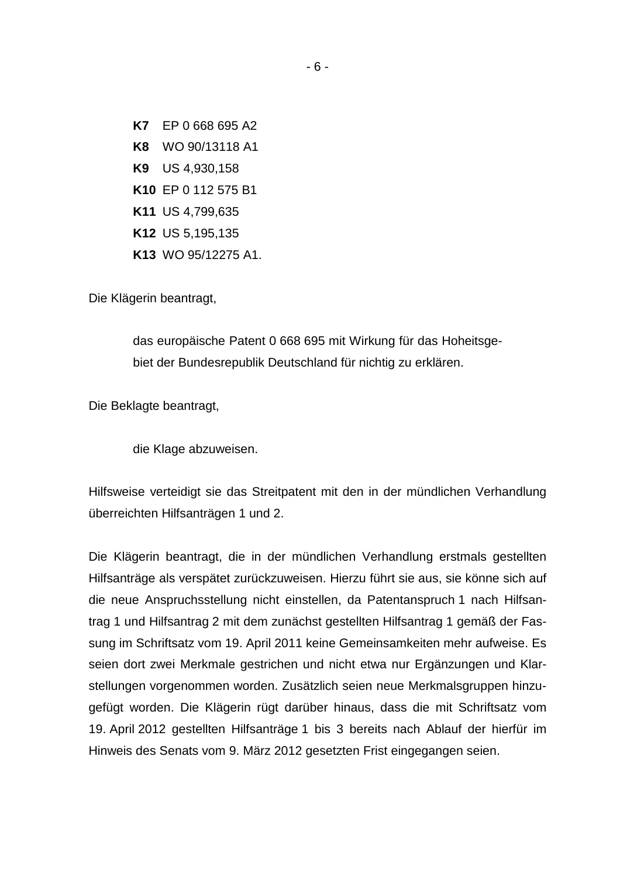**K7** EP 0 668 695 A2 **K8** WO 90/13118 A1 **K9** US 4,930,158 **K10** EP 0 112 575 B1 **K11** US 4,799,635 **K12** US 5,195,135 **K13** WO 95/12275 A1.

Die Klägerin beantragt,

das europäische Patent 0 668 695 mit Wirkung für das Hoheitsgebiet der Bundesrepublik Deutschland für nichtig zu erklären.

Die Beklagte beantragt,

die Klage abzuweisen.

Hilfsweise verteidigt sie das Streitpatent mit den in der mündlichen Verhandlung überreichten Hilfsanträgen 1 und 2.

Die Klägerin beantragt, die in der mündlichen Verhandlung erstmals gestellten Hilfsanträge als verspätet zurückzuweisen. Hierzu führt sie aus, sie könne sich auf die neue Anspruchsstellung nicht einstellen, da Patentanspruch 1 nach Hilfsantrag 1 und Hilfsantrag 2 mit dem zunächst gestellten Hilfsantrag 1 gemäß der Fassung im Schriftsatz vom 19. April 2011 keine Gemeinsamkeiten mehr aufweise. Es seien dort zwei Merkmale gestrichen und nicht etwa nur Ergänzungen und Klarstellungen vorgenommen worden. Zusätzlich seien neue Merkmalsgruppen hinzugefügt worden. Die Klägerin rügt darüber hinaus, dass die mit Schriftsatz vom 19. April 2012 gestellten Hilfsanträge 1 bis 3 bereits nach Ablauf der hierfür im Hinweis des Senats vom 9. März 2012 gesetzten Frist eingegangen seien.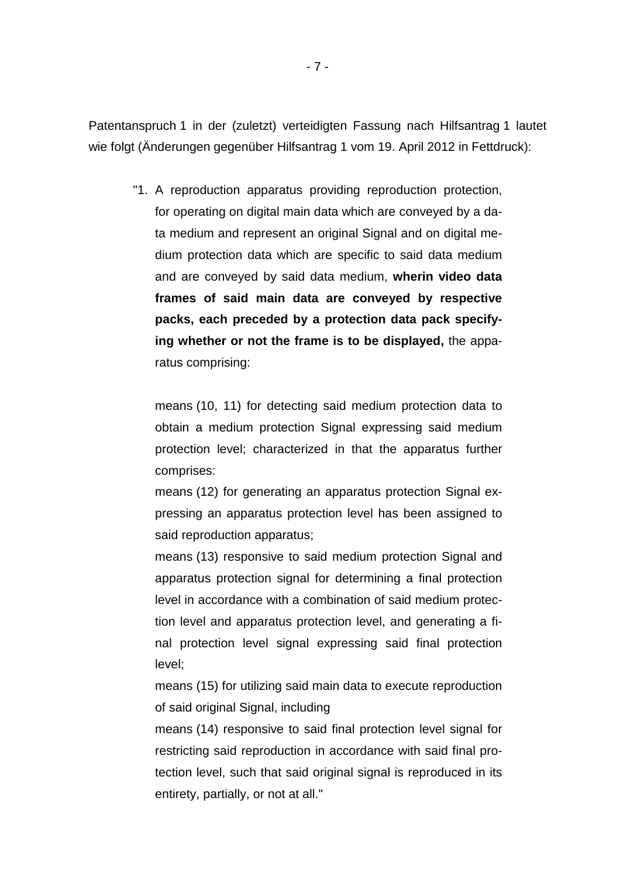Patentanspruch 1 in der (zuletzt) verteidigten Fassung nach Hilfsantrag 1 lautet wie folgt (Änderungen gegenüber Hilfsantrag 1 vom 19. April 2012 in Fettdruck):

"1. A reproduction apparatus providing reproduction protection, for operating on digital main data which are conveyed by a data medium and represent an original Signal and on digital medium protection data which are specific to said data medium and are conveyed by said data medium, **wherin video data frames of said main data are conveyed by respective packs, each preceded by a protection data pack specifying whether or not the frame is to be displayed,** the apparatus comprising:

means (10, 11) for detecting said medium protection data to obtain a medium protection Signal expressing said medium protection level; characterized in that the apparatus further comprises:

means (12) for generating an apparatus protection Signal expressing an apparatus protection level has been assigned to said reproduction apparatus;

means (13) responsive to said medium protection Signal and apparatus protection signal for determining a final protection level in accordance with a combination of said medium protection level and apparatus protection level, and generating a final protection level signal expressing said final protection level;

means (15) for utilizing said main data to execute reproduction of said original Signal, including

means (14) responsive to said final protection level signal for restricting said reproduction in accordance with said final protection level, such that said original signal is reproduced in its entirety, partially, or not at all."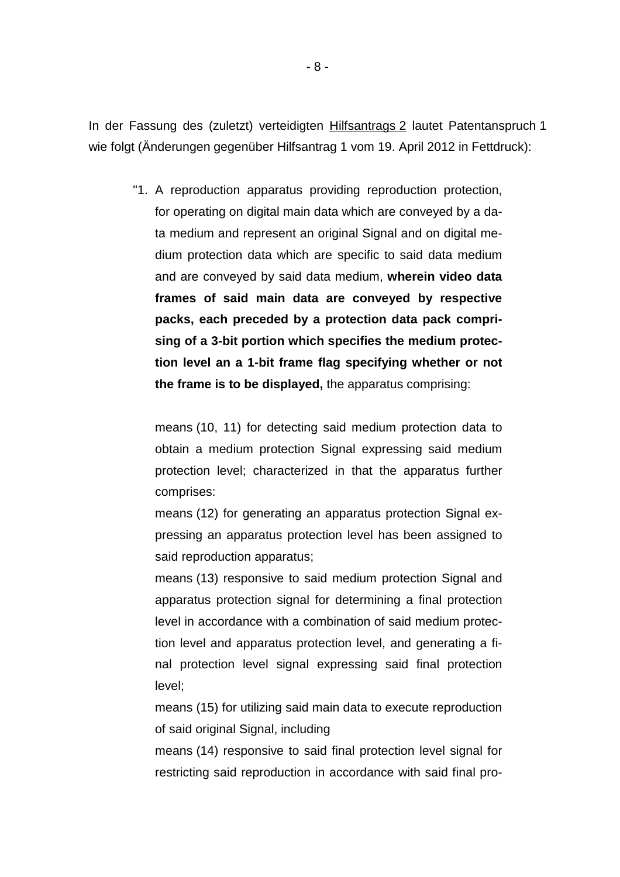In der Fassung des (zuletzt) verteidigten Hilfsantrags 2 lautet Patentanspruch 1 wie folgt (Änderungen gegenüber Hilfsantrag 1 vom 19. April 2012 in Fettdruck):

"1. A reproduction apparatus providing reproduction protection, for operating on digital main data which are conveyed by a data medium and represent an original Signal and on digital medium protection data which are specific to said data medium and are conveyed by said data medium, **wherein video data frames of said main data are conveyed by respective packs, each preceded by a protection data pack comprising of a 3-bit portion which specifies the medium protection level an a 1-bit frame flag specifying whether or not the frame is to be displayed,** the apparatus comprising:

means (10, 11) for detecting said medium protection data to obtain a medium protection Signal expressing said medium protection level; characterized in that the apparatus further comprises:

means (12) for generating an apparatus protection Signal expressing an apparatus protection level has been assigned to said reproduction apparatus;

means (13) responsive to said medium protection Signal and apparatus protection signal for determining a final protection level in accordance with a combination of said medium protection level and apparatus protection level, and generating a final protection level signal expressing said final protection level;

means (15) for utilizing said main data to execute reproduction of said original Signal, including

means (14) responsive to said final protection level signal for restricting said reproduction in accordance with said final pro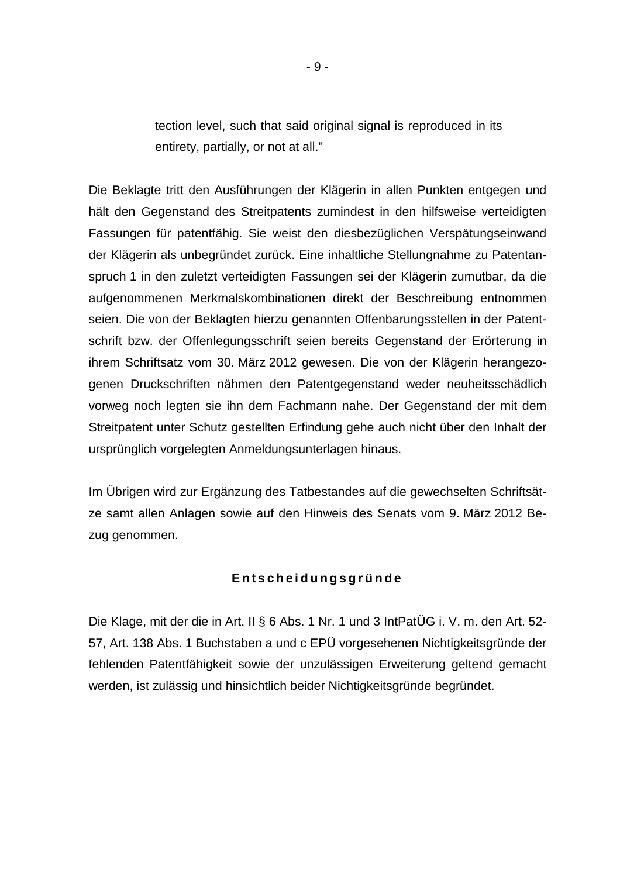tection level, such that said original signal is reproduced in its entirety, partially, or not at all."

Die Beklagte tritt den Ausführungen der Klägerin in allen Punkten entgegen und hält den Gegenstand des Streitpatents zumindest in den hilfsweise verteidigten Fassungen für patentfähig. Sie weist den diesbezüglichen Verspätungseinwand der Klägerin als unbegründet zurück. Eine inhaltliche Stellungnahme zu Patentanspruch 1 in den zuletzt verteidigten Fassungen sei der Klägerin zumutbar, da die aufgenommenen Merkmalskombinationen direkt der Beschreibung entnommen seien. Die von der Beklagten hierzu genannten Offenbarungsstellen in der Patentschrift bzw. der Offenlegungsschrift seien bereits Gegenstand der Erörterung in ihrem Schriftsatz vom 30. März 2012 gewesen. Die von der Klägerin herangezogenen Druckschriften nähmen den Patentgegenstand weder neuheitsschädlich vorweg noch legten sie ihn dem Fachmann nahe. Der Gegenstand der mit dem Streitpatent unter Schutz gestellten Erfindung gehe auch nicht über den Inhalt der ursprünglich vorgelegten Anmeldungsunterlagen hinaus.

Im Übrigen wird zur Ergänzung des Tatbestandes auf die gewechselten Schriftsätze samt allen Anlagen sowie auf den Hinweis des Senats vom 9. März 2012 Bezug genommen.

## **E n t s c h e i d u n g s g r ü n d e**

Die Klage, mit der die in Art. II § 6 Abs. 1 Nr. 1 und 3 IntPatÜG i. V. m. den Art. 52- 57, Art. 138 Abs. 1 Buchstaben a und c EPÜ vorgesehenen Nichtigkeitsgründe der fehlenden Patentfähigkeit sowie der unzulässigen Erweiterung geltend gemacht werden, ist zulässig und hinsichtlich beider Nichtigkeitsgründe begründet.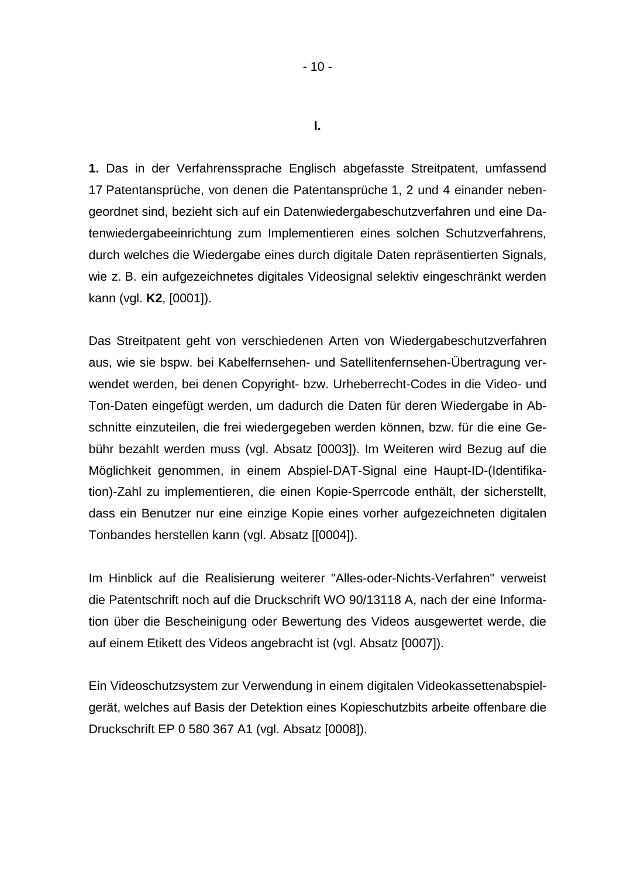**1.** Das in der Verfahrenssprache Englisch abgefasste Streitpatent, umfassend 17 Patentansprüche, von denen die Patentansprüche 1, 2 und 4 einander nebengeordnet sind, bezieht sich auf ein Datenwiedergabeschutzverfahren und eine Datenwiedergabeeinrichtung zum Implementieren eines solchen Schutzverfahrens, durch welches die Wiedergabe eines durch digitale Daten repräsentierten Signals, wie z. B. ein aufgezeichnetes digitales Videosignal selektiv eingeschränkt werden kann (vgl. **K2**, [0001]).

Das Streitpatent geht von verschiedenen Arten von Wiedergabeschutzverfahren aus, wie sie bspw. bei Kabelfernsehen- und Satellitenfernsehen-Übertragung verwendet werden, bei denen Copyright- bzw. Urheberrecht-Codes in die Video- und Ton-Daten eingefügt werden, um dadurch die Daten für deren Wiedergabe in Abschnitte einzuteilen, die frei wiedergegeben werden können, bzw. für die eine Gebühr bezahlt werden muss (vgl. Absatz [0003]). Im Weiteren wird Bezug auf die Möglichkeit genommen, in einem Abspiel-DAT-Signal eine Haupt-ID-(Identifikation)-Zahl zu implementieren, die einen Kopie-Sperrcode enthält, der sicherstellt, dass ein Benutzer nur eine einzige Kopie eines vorher aufgezeichneten digitalen Tonbandes herstellen kann (vgl. Absatz [[0004]).

Im Hinblick auf die Realisierung weiterer "Alles-oder-Nichts-Verfahren" verweist die Patentschrift noch auf die Druckschrift WO 90/13118 A, nach der eine Information über die Bescheinigung oder Bewertung des Videos ausgewertet werde, die auf einem Etikett des Videos angebracht ist (vgl. Absatz [0007]).

Ein Videoschutzsystem zur Verwendung in einem digitalen Videokassettenabspielgerät, welches auf Basis der Detektion eines Kopieschutzbits arbeite offenbare die Druckschrift EP 0 580 367 A1 (vgl. Absatz [0008]).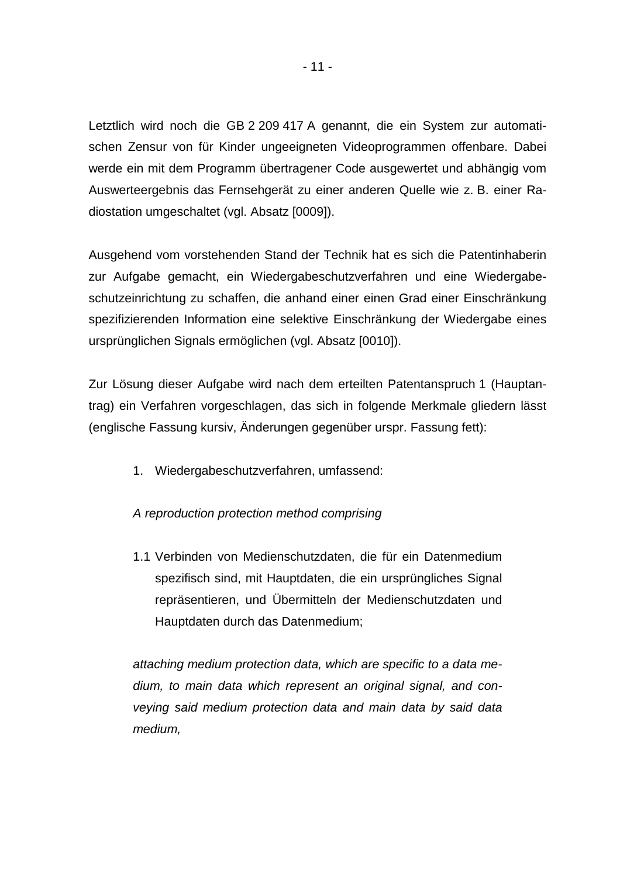Letztlich wird noch die GB 2 209 417 A genannt, die ein System zur automatischen Zensur von für Kinder ungeeigneten Videoprogrammen offenbare. Dabei werde ein mit dem Programm übertragener Code ausgewertet und abhängig vom Auswerteergebnis das Fernsehgerät zu einer anderen Quelle wie z. B. einer Radiostation umgeschaltet (vgl. Absatz [0009]).

Ausgehend vom vorstehenden Stand der Technik hat es sich die Patentinhaberin zur Aufgabe gemacht, ein Wiedergabeschutzverfahren und eine Wiedergabeschutzeinrichtung zu schaffen, die anhand einer einen Grad einer Einschränkung spezifizierenden Information eine selektive Einschränkung der Wiedergabe eines ursprünglichen Signals ermöglichen (vgl. Absatz [0010]).

Zur Lösung dieser Aufgabe wird nach dem erteilten Patentanspruch 1 (Hauptantrag) ein Verfahren vorgeschlagen, das sich in folgende Merkmale gliedern lässt (englische Fassung kursiv, Änderungen gegenüber urspr. Fassung fett):

1. Wiedergabeschutzverfahren, umfassend:

## *A reproduction protection method comprising*

1.1 Verbinden von Medienschutzdaten, die für ein Datenmedium spezifisch sind, mit Hauptdaten, die ein ursprüngliches Signal repräsentieren, und Übermitteln der Medienschutzdaten und Hauptdaten durch das Datenmedium;

*attaching medium protection data, which are specific to a data medium, to main data which represent an original signal, and conveying said medium protection data and main data by said data medium,*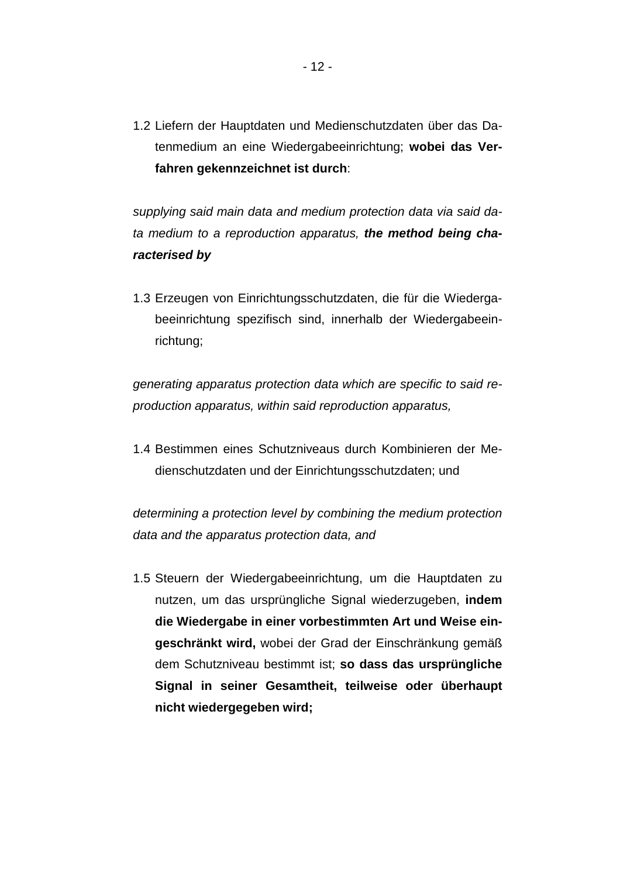1.2 Liefern der Hauptdaten und Medienschutzdaten über das Datenmedium an eine Wiedergabeeinrichtung; **wobei das Verfahren gekennzeichnet ist durch**:

*supplying said main data and medium protection data via said data medium to a reproduction apparatus, the method being characterised by*

1.3 Erzeugen von Einrichtungsschutzdaten, die für die Wiedergabeeinrichtung spezifisch sind, innerhalb der Wiedergabeeinrichtung;

*generating apparatus protection data which are specific to said reproduction apparatus, within said reproduction apparatus,*

1.4 Bestimmen eines Schutzniveaus durch Kombinieren der Medienschutzdaten und der Einrichtungsschutzdaten; und

*determining a protection level by combining the medium protection data and the apparatus protection data, and*

1.5 Steuern der Wiedergabeeinrichtung, um die Hauptdaten zu nutzen, um das ursprüngliche Signal wiederzugeben, **indem die Wiedergabe in einer vorbestimmten Art und Weise eingeschränkt wird,** wobei der Grad der Einschränkung gemäß dem Schutzniveau bestimmt ist; **so dass das ursprüngliche Signal in seiner Gesamtheit, teilweise oder überhaupt nicht wiedergegeben wird;**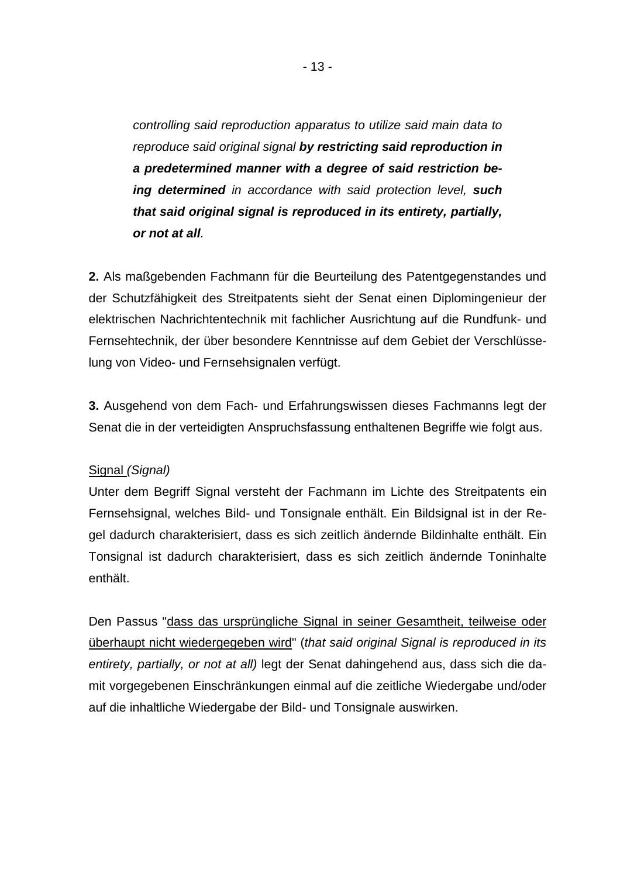*controlling said reproduction apparatus to utilize said main data to reproduce said original signal by restricting said reproduction in a predetermined manner with a degree of said restriction being determined in accordance with said protection level, such that said original signal is reproduced in its entirety, partially, or not at all.*

**2.** Als maßgebenden Fachmann für die Beurteilung des Patentgegenstandes und der Schutzfähigkeit des Streitpatents sieht der Senat einen Diplomingenieur der elektrischen Nachrichtentechnik mit fachlicher Ausrichtung auf die Rundfunk- und Fernsehtechnik, der über besondere Kenntnisse auf dem Gebiet der Verschlüsselung von Video- und Fernsehsignalen verfügt.

**3.** Ausgehend von dem Fach- und Erfahrungswissen dieses Fachmanns legt der Senat die in der verteidigten Anspruchsfassung enthaltenen Begriffe wie folgt aus.

## Signal *(Signal)*

Unter dem Begriff Signal versteht der Fachmann im Lichte des Streitpatents ein Fernsehsignal, welches Bild- und Tonsignale enthält. Ein Bildsignal ist in der Regel dadurch charakterisiert, dass es sich zeitlich ändernde Bildinhalte enthält. Ein Tonsignal ist dadurch charakterisiert, dass es sich zeitlich ändernde Toninhalte enthält.

Den Passus "dass das ursprüngliche Signal in seiner Gesamtheit, teilweise oder überhaupt nicht wiedergegeben wird" (*that said original Signal is reproduced in its entirety, partially, or not at all)* legt der Senat dahingehend aus, dass sich die damit vorgegebenen Einschränkungen einmal auf die zeitliche Wiedergabe und/oder auf die inhaltliche Wiedergabe der Bild- und Tonsignale auswirken.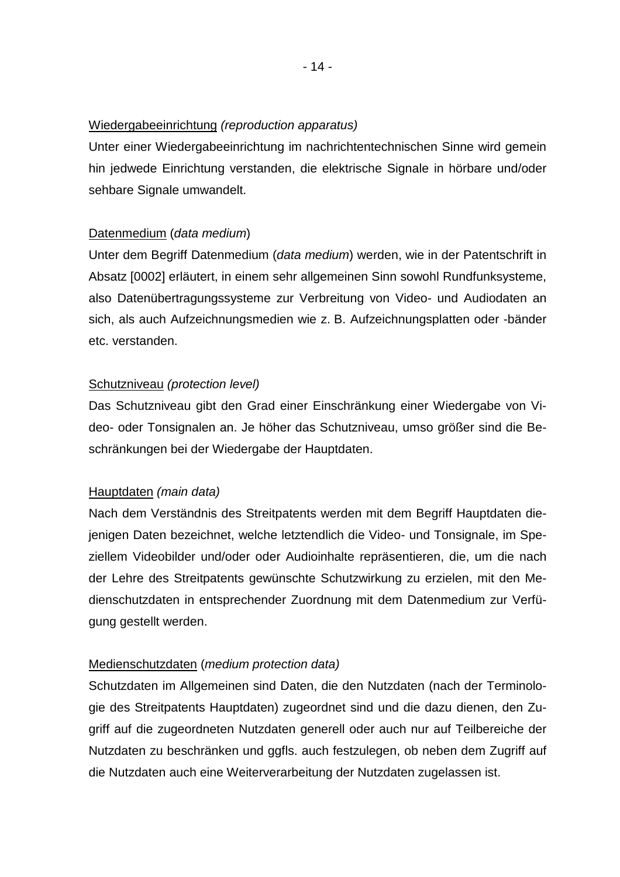#### Wiedergabeeinrichtung *(reproduction apparatus)*

Unter einer Wiedergabeeinrichtung im nachrichtentechnischen Sinne wird gemein hin jedwede Einrichtung verstanden, die elektrische Signale in hörbare und/oder sehbare Signale umwandelt.

## Datenmedium (*data medium*)

Unter dem Begriff Datenmedium (*data medium*) werden, wie in der Patentschrift in Absatz [0002] erläutert, in einem sehr allgemeinen Sinn sowohl Rundfunksysteme, also Datenübertragungssysteme zur Verbreitung von Video- und Audiodaten an sich, als auch Aufzeichnungsmedien wie z. B. Aufzeichnungsplatten oder -bänder etc. verstanden.

## Schutzniveau *(protection level)*

Das Schutzniveau gibt den Grad einer Einschränkung einer Wiedergabe von Video- oder Tonsignalen an. Je höher das Schutzniveau, umso größer sind die Beschränkungen bei der Wiedergabe der Hauptdaten.

## Hauptdaten *(main data)*

Nach dem Verständnis des Streitpatents werden mit dem Begriff Hauptdaten diejenigen Daten bezeichnet, welche letztendlich die Video- und Tonsignale, im Speziellem Videobilder und/oder oder Audioinhalte repräsentieren, die, um die nach der Lehre des Streitpatents gewünschte Schutzwirkung zu erzielen, mit den Medienschutzdaten in entsprechender Zuordnung mit dem Datenmedium zur Verfügung gestellt werden.

## Medienschutzdaten (*medium protection data)*

Schutzdaten im Allgemeinen sind Daten, die den Nutzdaten (nach der Terminologie des Streitpatents Hauptdaten) zugeordnet sind und die dazu dienen, den Zugriff auf die zugeordneten Nutzdaten generell oder auch nur auf Teilbereiche der Nutzdaten zu beschränken und ggfls. auch festzulegen, ob neben dem Zugriff auf die Nutzdaten auch eine Weiterverarbeitung der Nutzdaten zugelassen ist.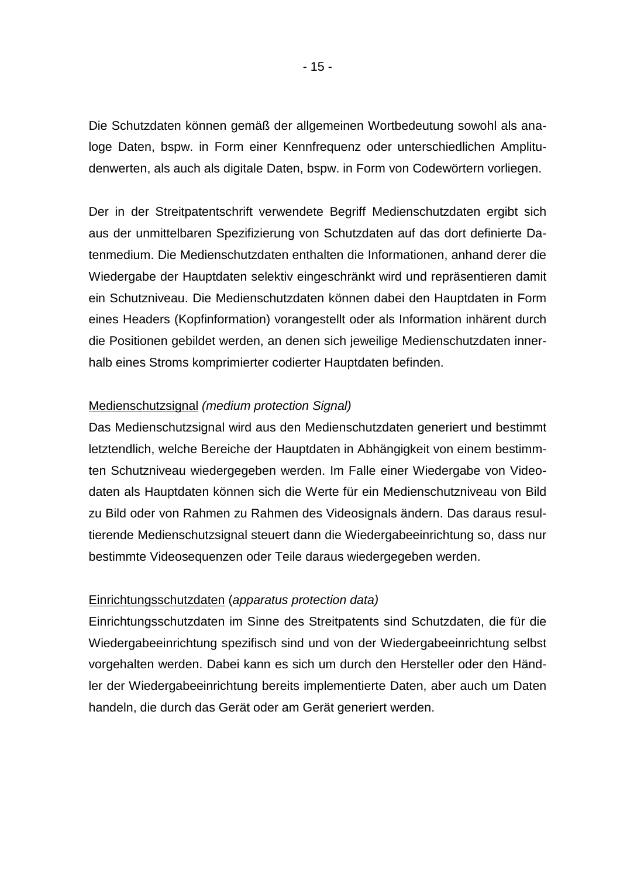Die Schutzdaten können gemäß der allgemeinen Wortbedeutung sowohl als analoge Daten, bspw. in Form einer Kennfrequenz oder unterschiedlichen Amplitudenwerten, als auch als digitale Daten, bspw. in Form von Codewörtern vorliegen.

Der in der Streitpatentschrift verwendete Begriff Medienschutzdaten ergibt sich aus der unmittelbaren Spezifizierung von Schutzdaten auf das dort definierte Datenmedium. Die Medienschutzdaten enthalten die Informationen, anhand derer die Wiedergabe der Hauptdaten selektiv eingeschränkt wird und repräsentieren damit ein Schutzniveau. Die Medienschutzdaten können dabei den Hauptdaten in Form eines Headers (Kopfinformation) vorangestellt oder als Information inhärent durch die Positionen gebildet werden, an denen sich jeweilige Medienschutzdaten innerhalb eines Stroms komprimierter codierter Hauptdaten befinden.

#### Medienschutzsignal *(medium protection Signal)*

Das Medienschutzsignal wird aus den Medienschutzdaten generiert und bestimmt letztendlich, welche Bereiche der Hauptdaten in Abhängigkeit von einem bestimmten Schutzniveau wiedergegeben werden. Im Falle einer Wiedergabe von Videodaten als Hauptdaten können sich die Werte für ein Medienschutzniveau von Bild zu Bild oder von Rahmen zu Rahmen des Videosignals ändern. Das daraus resultierende Medienschutzsignal steuert dann die Wiedergabeeinrichtung so, dass nur bestimmte Videosequenzen oder Teile daraus wiedergegeben werden.

## Einrichtungsschutzdaten (*apparatus protection data)*

Einrichtungsschutzdaten im Sinne des Streitpatents sind Schutzdaten, die für die Wiedergabeeinrichtung spezifisch sind und von der Wiedergabeeinrichtung selbst vorgehalten werden. Dabei kann es sich um durch den Hersteller oder den Händler der Wiedergabeeinrichtung bereits implementierte Daten, aber auch um Daten handeln, die durch das Gerät oder am Gerät generiert werden.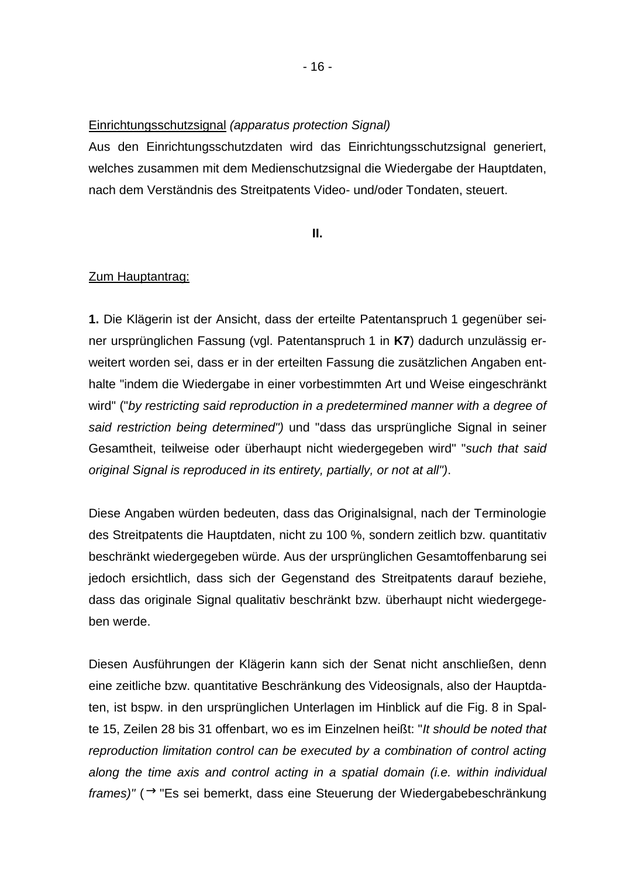#### Einrichtungsschutzsignal *(apparatus protection Signal)*

Aus den Einrichtungsschutzdaten wird das Einrichtungsschutzsignal generiert, welches zusammen mit dem Medienschutzsignal die Wiedergabe der Hauptdaten, nach dem Verständnis des Streitpatents Video- und/oder Tondaten, steuert.

#### **II.**

#### Zum Hauptantrag:

**1.** Die Klägerin ist der Ansicht, dass der erteilte Patentanspruch 1 gegenüber seiner ursprünglichen Fassung (vgl. Patentanspruch 1 in **K7**) dadurch unzulässig erweitert worden sei, dass er in der erteilten Fassung die zusätzlichen Angaben enthalte "indem die Wiedergabe in einer vorbestimmten Art und Weise eingeschränkt wird" ("*by restricting said reproduction in a predetermined manner with a degree of said restriction being determined")* und "dass das ursprüngliche Signal in seiner Gesamtheit, teilweise oder überhaupt nicht wiedergegeben wird" "*such that said original Signal is reproduced in its entirety, partially, or not at all")*.

Diese Angaben würden bedeuten, dass das Originalsignal, nach der Terminologie des Streitpatents die Hauptdaten, nicht zu 100 %, sondern zeitlich bzw. quantitativ beschränkt wiedergegeben würde. Aus der ursprünglichen Gesamtoffenbarung sei jedoch ersichtlich, dass sich der Gegenstand des Streitpatents darauf beziehe, dass das originale Signal qualitativ beschränkt bzw. überhaupt nicht wiedergegeben werde.

Diesen Ausführungen der Klägerin kann sich der Senat nicht anschließen, denn eine zeitliche bzw. quantitative Beschränkung des Videosignals, also der Hauptdaten, ist bspw. in den ursprünglichen Unterlagen im Hinblick auf die Fig. 8 in Spalte 15, Zeilen 28 bis 31 offenbart, wo es im Einzelnen heißt: "*It should be noted that reproduction limitation control can be executed by a combination of control acting along the time axis and control acting in a spatial domain (i.e. within individual frames)"* (→ "Es sei bemerkt, dass eine Steuerung der Wiedergabebeschränkung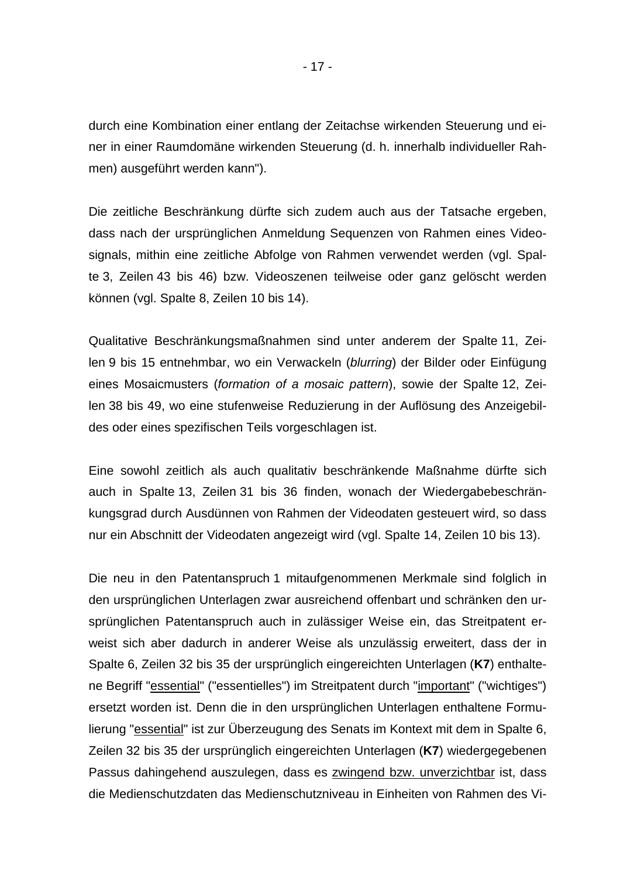durch eine Kombination einer entlang der Zeitachse wirkenden Steuerung und einer in einer Raumdomäne wirkenden Steuerung (d. h. innerhalb individueller Rahmen) ausgeführt werden kann").

Die zeitliche Beschränkung dürfte sich zudem auch aus der Tatsache ergeben, dass nach der ursprünglichen Anmeldung Sequenzen von Rahmen eines Videosignals, mithin eine zeitliche Abfolge von Rahmen verwendet werden (vgl. Spalte 3, Zeilen 43 bis 46) bzw. Videoszenen teilweise oder ganz gelöscht werden können (vgl. Spalte 8, Zeilen 10 bis 14).

Qualitative Beschränkungsmaßnahmen sind unter anderem der Spalte 11, Zeilen 9 bis 15 entnehmbar, wo ein Verwackeln (*blurring*) der Bilder oder Einfügung eines Mosaicmusters (*formation of a mosaic pattern*), sowie der Spalte 12, Zeilen 38 bis 49, wo eine stufenweise Reduzierung in der Auflösung des Anzeigebildes oder eines spezifischen Teils vorgeschlagen ist.

Eine sowohl zeitlich als auch qualitativ beschränkende Maßnahme dürfte sich auch in Spalte 13, Zeilen 31 bis 36 finden, wonach der Wiedergabebeschränkungsgrad durch Ausdünnen von Rahmen der Videodaten gesteuert wird, so dass nur ein Abschnitt der Videodaten angezeigt wird (vgl. Spalte 14, Zeilen 10 bis 13).

Die neu in den Patentanspruch 1 mitaufgenommenen Merkmale sind folglich in den ursprünglichen Unterlagen zwar ausreichend offenbart und schränken den ursprünglichen Patentanspruch auch in zulässiger Weise ein, das Streitpatent erweist sich aber dadurch in anderer Weise als unzulässig erweitert, dass der in Spalte 6, Zeilen 32 bis 35 der ursprünglich eingereichten Unterlagen (**K7**) enthaltene Begriff "essential" ("essentielles") im Streitpatent durch "important" ("wichtiges") ersetzt worden ist. Denn die in den ursprünglichen Unterlagen enthaltene Formulierung "essential" ist zur Überzeugung des Senats im Kontext mit dem in Spalte 6, Zeilen 32 bis 35 der ursprünglich eingereichten Unterlagen (**K7**) wiedergegebenen Passus dahingehend auszulegen, dass es zwingend bzw. unverzichtbar ist, dass die Medienschutzdaten das Medienschutzniveau in Einheiten von Rahmen des Vi-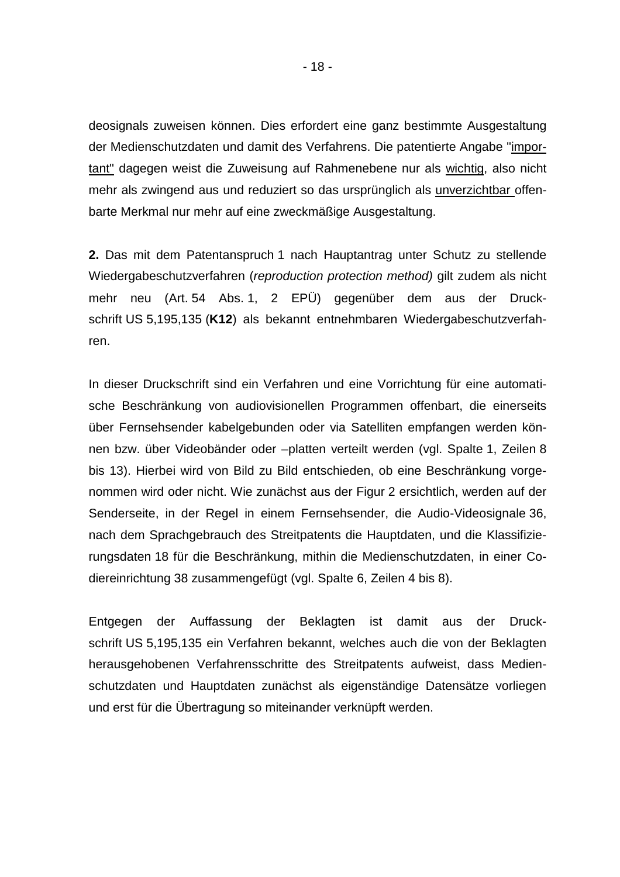deosignals zuweisen können. Dies erfordert eine ganz bestimmte Ausgestaltung der Medienschutzdaten und damit des Verfahrens. Die patentierte Angabe "important" dagegen weist die Zuweisung auf Rahmenebene nur als wichtig, also nicht mehr als zwingend aus und reduziert so das ursprünglich als unverzichtbar offenbarte Merkmal nur mehr auf eine zweckmäßige Ausgestaltung.

**2.** Das mit dem Patentanspruch 1 nach Hauptantrag unter Schutz zu stellende Wiedergabeschutzverfahren (*reproduction protection method)* gilt zudem als nicht mehr neu (Art. 54 Abs. 1, 2 EPÜ) gegenüber dem aus der Druckschrift US 5,195,135 (**K12**) als bekannt entnehmbaren Wiedergabeschutzverfahren.

In dieser Druckschrift sind ein Verfahren und eine Vorrichtung für eine automatische Beschränkung von audiovisionellen Programmen offenbart, die einerseits über Fernsehsender kabelgebunden oder via Satelliten empfangen werden können bzw. über Videobänder oder –platten verteilt werden (vgl. Spalte 1, Zeilen 8 bis 13). Hierbei wird von Bild zu Bild entschieden, ob eine Beschränkung vorgenommen wird oder nicht. Wie zunächst aus der Figur 2 ersichtlich, werden auf der Senderseite, in der Regel in einem Fernsehsender, die Audio-Videosignale 36, nach dem Sprachgebrauch des Streitpatents die Hauptdaten, und die Klassifizierungsdaten 18 für die Beschränkung, mithin die Medienschutzdaten, in einer Codiereinrichtung 38 zusammengefügt (vgl. Spalte 6, Zeilen 4 bis 8).

Entgegen der Auffassung der Beklagten ist damit aus der Druckschrift US 5,195,135 ein Verfahren bekannt, welches auch die von der Beklagten herausgehobenen Verfahrensschritte des Streitpatents aufweist, dass Medienschutzdaten und Hauptdaten zunächst als eigenständige Datensätze vorliegen und erst für die Übertragung so miteinander verknüpft werden.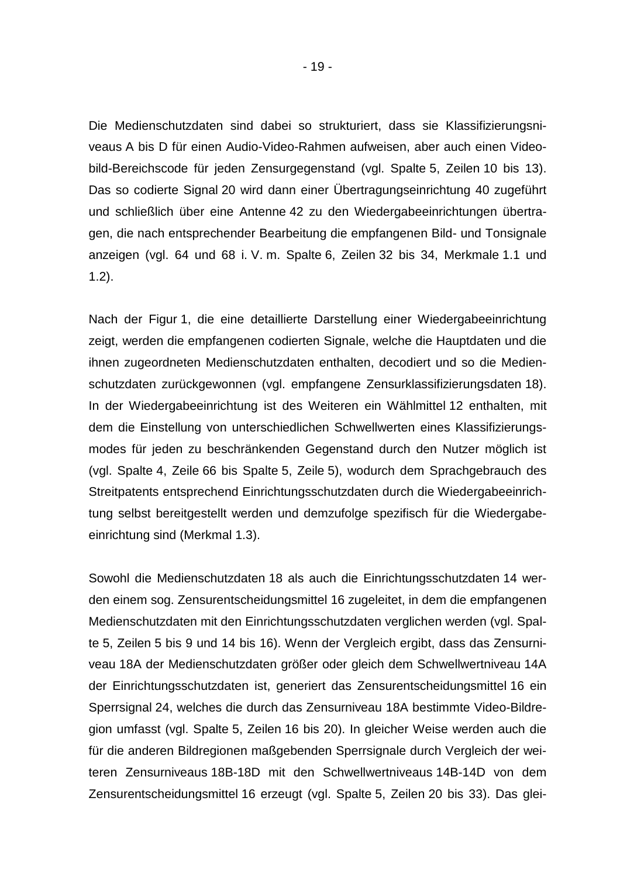Die Medienschutzdaten sind dabei so strukturiert, dass sie Klassifizierungsniveaus A bis D für einen Audio-Video-Rahmen aufweisen, aber auch einen Videobild-Bereichscode für jeden Zensurgegenstand (vgl. Spalte 5, Zeilen 10 bis 13). Das so codierte Signal 20 wird dann einer Übertragungseinrichtung 40 zugeführt und schließlich über eine Antenne 42 zu den Wiedergabeeinrichtungen übertragen, die nach entsprechender Bearbeitung die empfangenen Bild- und Tonsignale anzeigen (vgl. 64 und 68 i. V. m. Spalte 6, Zeilen 32 bis 34, Merkmale 1.1 und 1.2).

Nach der Figur 1, die eine detaillierte Darstellung einer Wiedergabeeinrichtung zeigt, werden die empfangenen codierten Signale, welche die Hauptdaten und die ihnen zugeordneten Medienschutzdaten enthalten, decodiert und so die Medienschutzdaten zurückgewonnen (vgl. empfangene Zensurklassifizierungsdaten 18). In der Wiedergabeeinrichtung ist des Weiteren ein Wählmittel 12 enthalten, mit dem die Einstellung von unterschiedlichen Schwellwerten eines Klassifizierungsmodes für jeden zu beschränkenden Gegenstand durch den Nutzer möglich ist (vgl. Spalte 4, Zeile 66 bis Spalte 5, Zeile 5), wodurch dem Sprachgebrauch des Streitpatents entsprechend Einrichtungsschutzdaten durch die Wiedergabeeinrichtung selbst bereitgestellt werden und demzufolge spezifisch für die Wiedergabeeinrichtung sind (Merkmal 1.3).

Sowohl die Medienschutzdaten 18 als auch die Einrichtungsschutzdaten 14 werden einem sog. Zensurentscheidungsmittel 16 zugeleitet, in dem die empfangenen Medienschutzdaten mit den Einrichtungsschutzdaten verglichen werden (vgl. Spalte 5, Zeilen 5 bis 9 und 14 bis 16). Wenn der Vergleich ergibt, dass das Zensurniveau 18A der Medienschutzdaten größer oder gleich dem Schwellwertniveau 14A der Einrichtungsschutzdaten ist, generiert das Zensurentscheidungsmittel 16 ein Sperrsignal 24, welches die durch das Zensurniveau 18A bestimmte Video-Bildregion umfasst (vgl. Spalte 5, Zeilen 16 bis 20). In gleicher Weise werden auch die für die anderen Bildregionen maßgebenden Sperrsignale durch Vergleich der weiteren Zensurniveaus 18B-18D mit den Schwellwertniveaus 14B-14D von dem Zensurentscheidungsmittel 16 erzeugt (vgl. Spalte 5, Zeilen 20 bis 33). Das glei-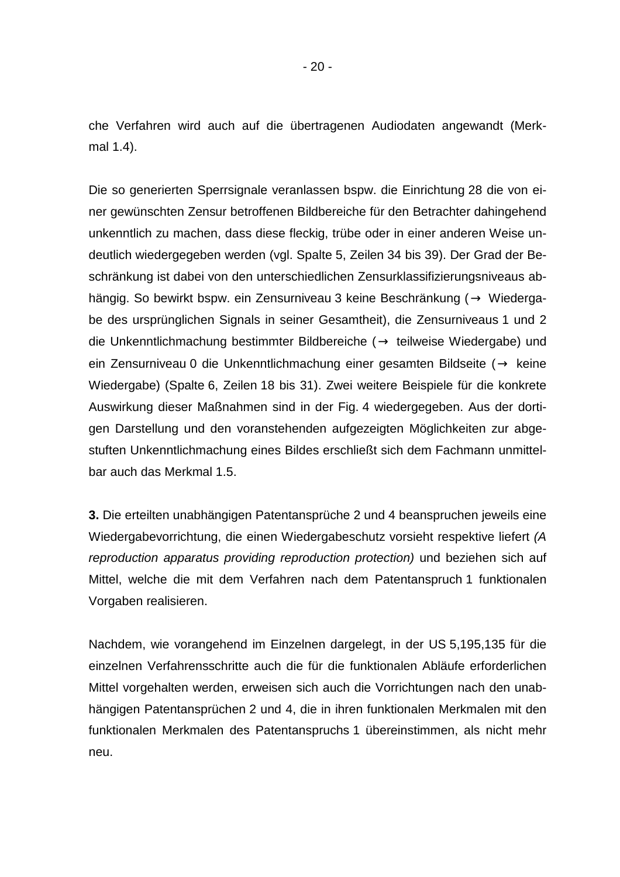che Verfahren wird auch auf die übertragenen Audiodaten angewandt (Merkmal 1.4).

Die so generierten Sperrsignale veranlassen bspw. die Einrichtung 28 die von einer gewünschten Zensur betroffenen Bildbereiche für den Betrachter dahingehend unkenntlich zu machen, dass diese fleckig, trübe oder in einer anderen Weise undeutlich wiedergegeben werden (vgl. Spalte 5, Zeilen 34 bis 39). Der Grad der Beschränkung ist dabei von den unterschiedlichen Zensurklassifizierungsniveaus abhängig. So bewirkt bspw. ein Zensurniveau 3 keine Beschränkung ( $\rightarrow$  Wiedergabe des ursprünglichen Signals in seiner Gesamtheit), die Zensurniveaus 1 und 2 die Unkenntlichmachung bestimmter Bildbereiche ( $→$  teilweise Wiedergabe) und ein Zensurniveau 0 die Unkenntlichmachung einer gesamten Bildseite ( $\rightarrow$  keine Wiedergabe) (Spalte 6, Zeilen 18 bis 31). Zwei weitere Beispiele für die konkrete Auswirkung dieser Maßnahmen sind in der Fig. 4 wiedergegeben. Aus der dortigen Darstellung und den voranstehenden aufgezeigten Möglichkeiten zur abgestuften Unkenntlichmachung eines Bildes erschließt sich dem Fachmann unmittelbar auch das Merkmal 1.5.

**3.** Die erteilten unabhängigen Patentansprüche 2 und 4 beanspruchen jeweils eine Wiedergabevorrichtung, die einen Wiedergabeschutz vorsieht respektive liefert *(A reproduction apparatus providing reproduction protection)* und beziehen sich auf Mittel, welche die mit dem Verfahren nach dem Patentanspruch 1 funktionalen Vorgaben realisieren.

Nachdem, wie vorangehend im Einzelnen dargelegt, in der US 5,195,135 für die einzelnen Verfahrensschritte auch die für die funktionalen Abläufe erforderlichen Mittel vorgehalten werden, erweisen sich auch die Vorrichtungen nach den unabhängigen Patentansprüchen 2 und 4, die in ihren funktionalen Merkmalen mit den funktionalen Merkmalen des Patentanspruchs 1 übereinstimmen, als nicht mehr neu.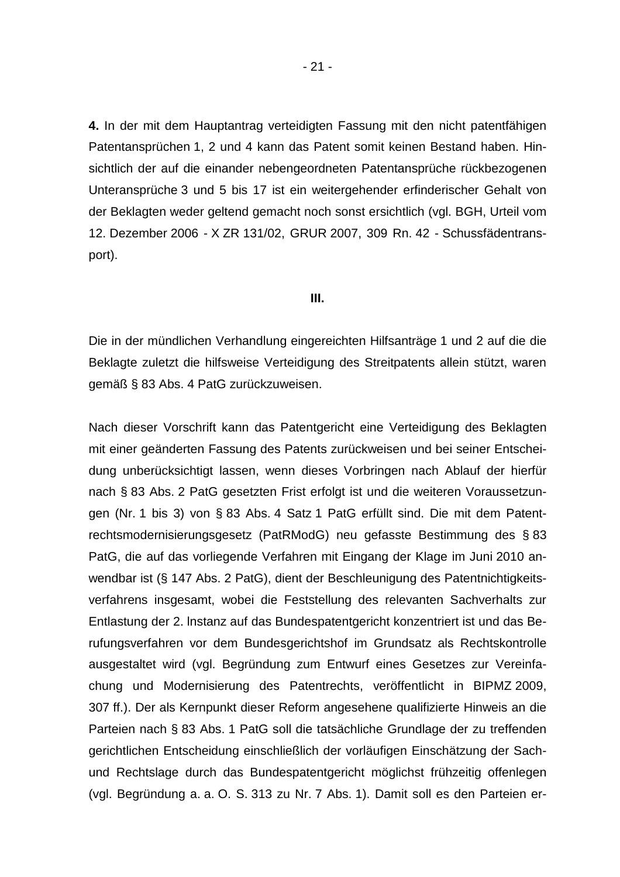**4.** In der mit dem Hauptantrag verteidigten Fassung mit den nicht patentfähigen Patentansprüchen 1, 2 und 4 kann das Patent somit keinen Bestand haben. Hinsichtlich der auf die einander nebengeordneten Patentansprüche rückbezogenen Unteransprüche 3 und 5 bis 17 ist ein weitergehender erfinderischer Gehalt von der Beklagten weder geltend gemacht noch sonst ersichtlich (vgl. BGH, Urteil vom 12. Dezember 2006 - X ZR 131/02, GRUR 2007, 309 Rn. 42 - Schussfädentransport).

#### **III.**

Die in der mündlichen Verhandlung eingereichten Hilfsanträge 1 und 2 auf die die Beklagte zuletzt die hilfsweise Verteidigung des Streitpatents allein stützt, waren gemäß § 83 Abs. 4 PatG zurückzuweisen.

Nach dieser Vorschrift kann das Patentgericht eine Verteidigung des Beklagten mit einer geänderten Fassung des Patents zurückweisen und bei seiner Entscheidung unberücksichtigt lassen, wenn dieses Vorbringen nach Ablauf der hierfür nach § 83 Abs. 2 PatG gesetzten Frist erfolgt ist und die weiteren Voraussetzungen (Nr. 1 bis 3) von § 83 Abs. 4 Satz 1 PatG erfüllt sind. Die mit dem Patentrechtsmodernisierungsgesetz (PatRModG) neu gefasste Bestimmung des § 83 PatG, die auf das vorliegende Verfahren mit Eingang der Klage im Juni 2010 anwendbar ist (§ 147 Abs. 2 PatG), dient der Beschleunigung des Patentnichtigkeitsverfahrens insgesamt, wobei die Feststellung des relevanten Sachverhalts zur Entlastung der 2. lnstanz auf das Bundespatentgericht konzentriert ist und das Berufungsverfahren vor dem Bundesgerichtshof im Grundsatz als Rechtskontrolle ausgestaltet wird (vgl. Begründung zum Entwurf eines Gesetzes zur Vereinfachung und Modernisierung des Patentrechts, veröffentlicht in BIPMZ 2009, 307 ff.). Der als Kernpunkt dieser Reform angesehene qualifizierte Hinweis an die Parteien nach § 83 Abs. 1 PatG soll die tatsächliche Grundlage der zu treffenden gerichtlichen Entscheidung einschließlich der vorläufigen Einschätzung der Sachund Rechtslage durch das Bundespatentgericht möglichst frühzeitig offenlegen (vgl. Begründung a. a. O. S. 313 zu Nr. 7 Abs. 1). Damit soll es den Parteien er-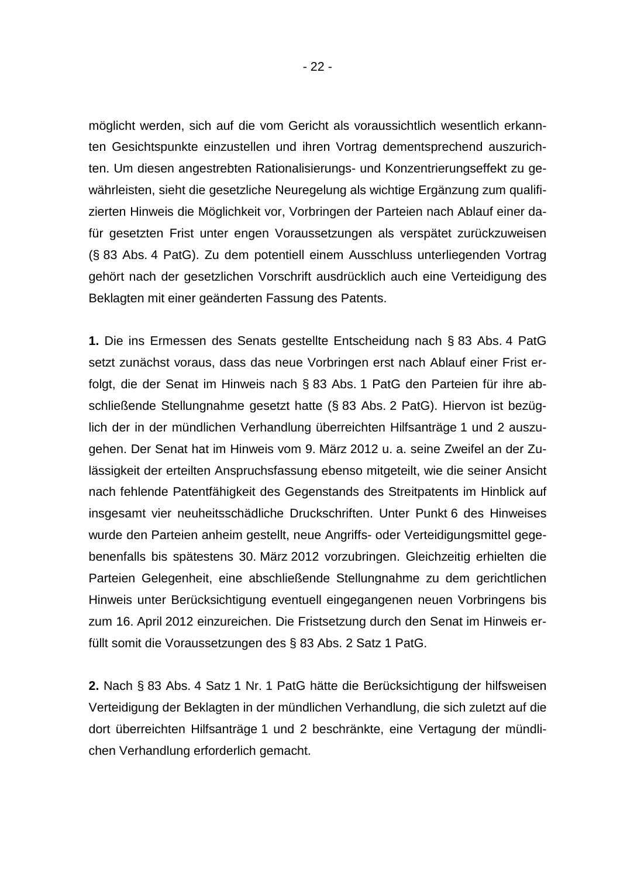möglicht werden, sich auf die vom Gericht als voraussichtlich wesentlich erkannten Gesichtspunkte einzustellen und ihren Vortrag dementsprechend auszurichten. Um diesen angestrebten Rationalisierungs- und Konzentrierungseffekt zu gewährleisten, sieht die gesetzliche Neuregelung als wichtige Ergänzung zum qualifizierten Hinweis die Möglichkeit vor, Vorbringen der Parteien nach Ablauf einer dafür gesetzten Frist unter engen Voraussetzungen als verspätet zurückzuweisen (§ 83 Abs. 4 PatG). Zu dem potentiell einem Ausschluss unterliegenden Vortrag gehört nach der gesetzlichen Vorschrift ausdrücklich auch eine Verteidigung des Beklagten mit einer geänderten Fassung des Patents.

**1.** Die ins Ermessen des Senats gestellte Entscheidung nach § 83 Abs. 4 PatG setzt zunächst voraus, dass das neue Vorbringen erst nach Ablauf einer Frist erfolgt, die der Senat im Hinweis nach § 83 Abs. 1 PatG den Parteien für ihre abschließende Stellungnahme gesetzt hatte (§ 83 Abs. 2 PatG). Hiervon ist bezüglich der in der mündlichen Verhandlung überreichten Hilfsanträge 1 und 2 auszugehen. Der Senat hat im Hinweis vom 9. März 2012 u. a. seine Zweifel an der Zulässigkeit der erteilten Anspruchsfassung ebenso mitgeteilt, wie die seiner Ansicht nach fehlende Patentfähigkeit des Gegenstands des Streitpatents im Hinblick auf insgesamt vier neuheitsschädliche Druckschriften. Unter Punkt 6 des Hinweises wurde den Parteien anheim gestellt, neue Angriffs- oder Verteidigungsmittel gegebenenfalls bis spätestens 30. März 2012 vorzubringen. Gleichzeitig erhielten die Parteien Gelegenheit, eine abschließende Stellungnahme zu dem gerichtlichen Hinweis unter Berücksichtigung eventuell eingegangenen neuen Vorbringens bis zum 16. April 2012 einzureichen. Die Fristsetzung durch den Senat im Hinweis erfüllt somit die Voraussetzungen des § 83 Abs. 2 Satz 1 PatG.

**2.** Nach § 83 Abs. 4 Satz 1 Nr. 1 PatG hätte die Berücksichtigung der hilfsweisen Verteidigung der Beklagten in der mündlichen Verhandlung, die sich zuletzt auf die dort überreichten Hilfsanträge 1 und 2 beschränkte, eine Vertagung der mündlichen Verhandlung erforderlich gemacht.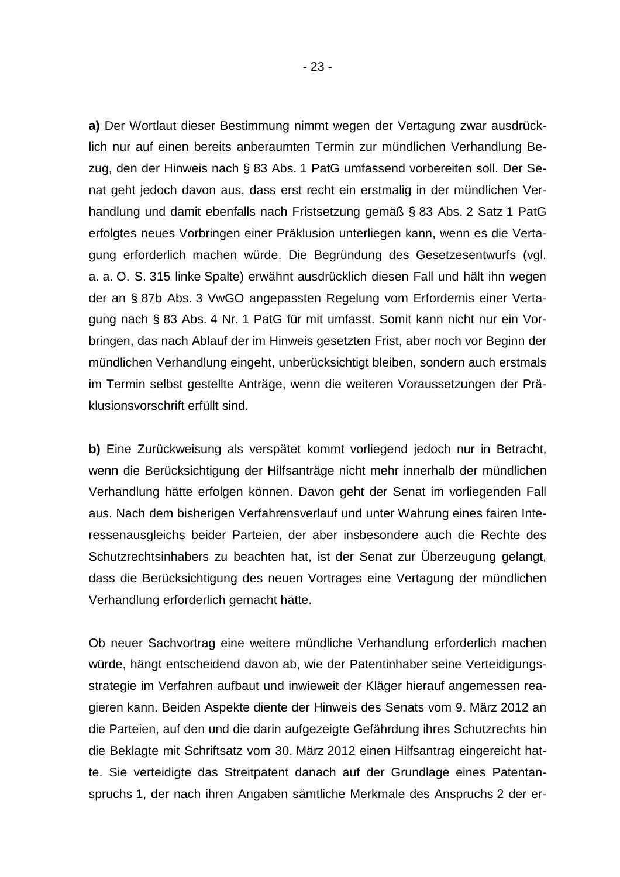**a)** Der Wortlaut dieser Bestimmung nimmt wegen der Vertagung zwar ausdrücklich nur auf einen bereits anberaumten Termin zur mündlichen Verhandlung Bezug, den der Hinweis nach § 83 Abs. 1 PatG umfassend vorbereiten soll. Der Senat geht jedoch davon aus, dass erst recht ein erstmalig in der mündlichen Verhandlung und damit ebenfalls nach Fristsetzung gemäß § 83 Abs. 2 Satz 1 PatG erfolgtes neues Vorbringen einer Präklusion unterliegen kann, wenn es die Vertagung erforderlich machen würde. Die Begründung des Gesetzesentwurfs (vgl. a. a. O. S. 315 linke Spalte) erwähnt ausdrücklich diesen Fall und hält ihn wegen der an § 87b Abs. 3 VwGO angepassten Regelung vom Erfordernis einer Vertagung nach § 83 Abs. 4 Nr. 1 PatG für mit umfasst. Somit kann nicht nur ein Vorbringen, das nach Ablauf der im Hinweis gesetzten Frist, aber noch vor Beginn der mündlichen Verhandlung eingeht, unberücksichtigt bleiben, sondern auch erstmals im Termin selbst gestellte Anträge, wenn die weiteren Voraussetzungen der Präklusionsvorschrift erfüllt sind.

**b)** Eine Zurückweisung als verspätet kommt vorliegend jedoch nur in Betracht, wenn die Berücksichtigung der Hilfsanträge nicht mehr innerhalb der mündlichen Verhandlung hätte erfolgen können. Davon geht der Senat im vorliegenden Fall aus. Nach dem bisherigen Verfahrensverlauf und unter Wahrung eines fairen Interessenausgleichs beider Parteien, der aber insbesondere auch die Rechte des Schutzrechtsinhabers zu beachten hat, ist der Senat zur Überzeugung gelangt, dass die Berücksichtigung des neuen Vortrages eine Vertagung der mündlichen Verhandlung erforderlich gemacht hätte.

Ob neuer Sachvortrag eine weitere mündliche Verhandlung erforderlich machen würde, hängt entscheidend davon ab, wie der Patentinhaber seine Verteidigungsstrategie im Verfahren aufbaut und inwieweit der Kläger hierauf angemessen reagieren kann. Beiden Aspekte diente der Hinweis des Senats vom 9. März 2012 an die Parteien, auf den und die darin aufgezeigte Gefährdung ihres Schutzrechts hin die Beklagte mit Schriftsatz vom 30. März 2012 einen Hilfsantrag eingereicht hatte. Sie verteidigte das Streitpatent danach auf der Grundlage eines Patentanspruchs 1, der nach ihren Angaben sämtliche Merkmale des Anspruchs 2 der er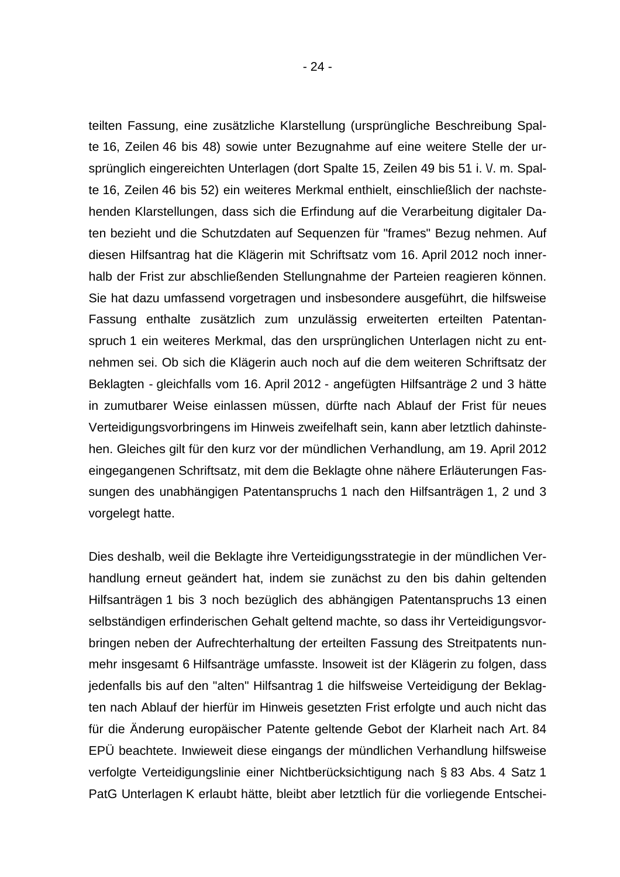teilten Fassung, eine zusätzliche Klarstellung (ursprüngliche Beschreibung Spalte 16, Zeilen 46 bis 48) sowie unter Bezugnahme auf eine weitere Stelle der ursprünglich eingereichten Unterlagen (dort Spalte 15, Zeilen 49 bis 51 i. V. m. Spalte 16, Zeilen 46 bis 52) ein weiteres Merkmal enthielt, einschließlich der nachstehenden Klarstellungen, dass sich die Erfindung auf die Verarbeitung digitaler Daten bezieht und die Schutzdaten auf Sequenzen für "frames" Bezug nehmen. Auf diesen Hilfsantrag hat die Klägerin mit Schriftsatz vom 16. April 2012 noch innerhalb der Frist zur abschließenden Stellungnahme der Parteien reagieren können. Sie hat dazu umfassend vorgetragen und insbesondere ausgeführt, die hilfsweise Fassung enthalte zusätzlich zum unzulässig erweiterten erteilten Patentanspruch 1 ein weiteres Merkmal, das den ursprünglichen Unterlagen nicht zu entnehmen sei. Ob sich die Klägerin auch noch auf die dem weiteren Schriftsatz der Beklagten - gleichfalls vom 16. April 2012 - angefügten Hilfsanträge 2 und 3 hätte in zumutbarer Weise einlassen müssen, dürfte nach Ablauf der Frist für neues Verteidigungsvorbringens im Hinweis zweifelhaft sein, kann aber letztlich dahinstehen. Gleiches gilt für den kurz vor der mündlichen Verhandlung, am 19. April 2012 eingegangenen Schriftsatz, mit dem die Beklagte ohne nähere Erläuterungen Fassungen des unabhängigen Patentanspruchs 1 nach den Hilfsanträgen 1, 2 und 3 vorgelegt hatte.

Dies deshalb, weil die Beklagte ihre Verteidigungsstrategie in der mündlichen Verhandlung erneut geändert hat, indem sie zunächst zu den bis dahin geltenden Hilfsanträgen 1 bis 3 noch bezüglich des abhängigen Patentanspruchs 13 einen selbständigen erfinderischen Gehalt geltend machte, so dass ihr Verteidigungsvorbringen neben der Aufrechterhaltung der erteilten Fassung des Streitpatents nunmehr insgesamt 6 Hilfsanträge umfasste. lnsoweit ist der Klägerin zu folgen, dass jedenfalls bis auf den "alten" Hilfsantrag 1 die hilfsweise Verteidigung der Beklagten nach Ablauf der hierfür im Hinweis gesetzten Frist erfolgte und auch nicht das für die Änderung europäischer Patente geltende Gebot der Klarheit nach Art. 84 EPÜ beachtete. Inwieweit diese eingangs der mündlichen Verhandlung hilfsweise verfolgte Verteidigungslinie einer Nichtberücksichtigung nach § 83 Abs. 4 Satz 1 PatG Unterlagen K erlaubt hätte, bleibt aber letztlich für die vorliegende Entschei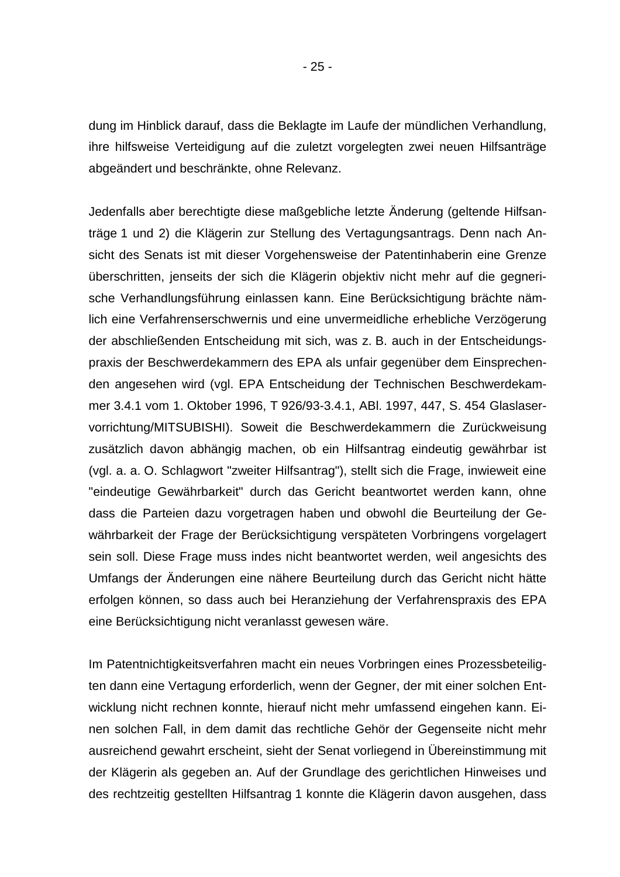dung im Hinblick darauf, dass die Beklagte im Laufe der mündlichen Verhandlung, ihre hilfsweise Verteidigung auf die zuletzt vorgelegten zwei neuen Hilfsanträge abgeändert und beschränkte, ohne Relevanz.

Jedenfalls aber berechtigte diese maßgebliche letzte Änderung (geltende Hilfsanträge 1 und 2) die Klägerin zur Stellung des Vertagungsantrags. Denn nach Ansicht des Senats ist mit dieser Vorgehensweise der Patentinhaberin eine Grenze überschritten, jenseits der sich die Klägerin objektiv nicht mehr auf die gegnerische Verhandlungsführung einlassen kann. Eine Berücksichtigung brächte nämlich eine Verfahrenserschwernis und eine unvermeidliche erhebliche Verzögerung der abschließenden Entscheidung mit sich, was z. B. auch in der Entscheidungspraxis der Beschwerdekammern des EPA als unfair gegenüber dem Einsprechenden angesehen wird (vgl. EPA Entscheidung der Technischen Beschwerdekammer 3.4.1 vom 1. Oktober 1996, T 926/93-3.4.1, ABl. 1997, 447, S. 454 Glaslaservorrichtung/MITSUBISHI). Soweit die Beschwerdekammern die Zurückweisung zusätzlich davon abhängig machen, ob ein Hilfsantrag eindeutig gewährbar ist (vgl. a. a. O. Schlagwort "zweiter Hilfsantrag"), stellt sich die Frage, inwieweit eine "eindeutige Gewährbarkeit" durch das Gericht beantwortet werden kann, ohne dass die Parteien dazu vorgetragen haben und obwohl die Beurteilung der Gewährbarkeit der Frage der Berücksichtigung verspäteten Vorbringens vorgelagert sein soll. Diese Frage muss indes nicht beantwortet werden, weil angesichts des Umfangs der Änderungen eine nähere Beurteilung durch das Gericht nicht hätte erfolgen können, so dass auch bei Heranziehung der Verfahrenspraxis des EPA eine Berücksichtigung nicht veranlasst gewesen wäre.

Im Patentnichtigkeitsverfahren macht ein neues Vorbringen eines Prozessbeteiligten dann eine Vertagung erforderlich, wenn der Gegner, der mit einer solchen Entwicklung nicht rechnen konnte, hierauf nicht mehr umfassend eingehen kann. Einen solchen Fall, in dem damit das rechtliche Gehör der Gegenseite nicht mehr ausreichend gewahrt erscheint, sieht der Senat vorliegend in Übereinstimmung mit der Klägerin als gegeben an. Auf der Grundlage des gerichtlichen Hinweises und des rechtzeitig gestellten Hilfsantrag 1 konnte die Klägerin davon ausgehen, dass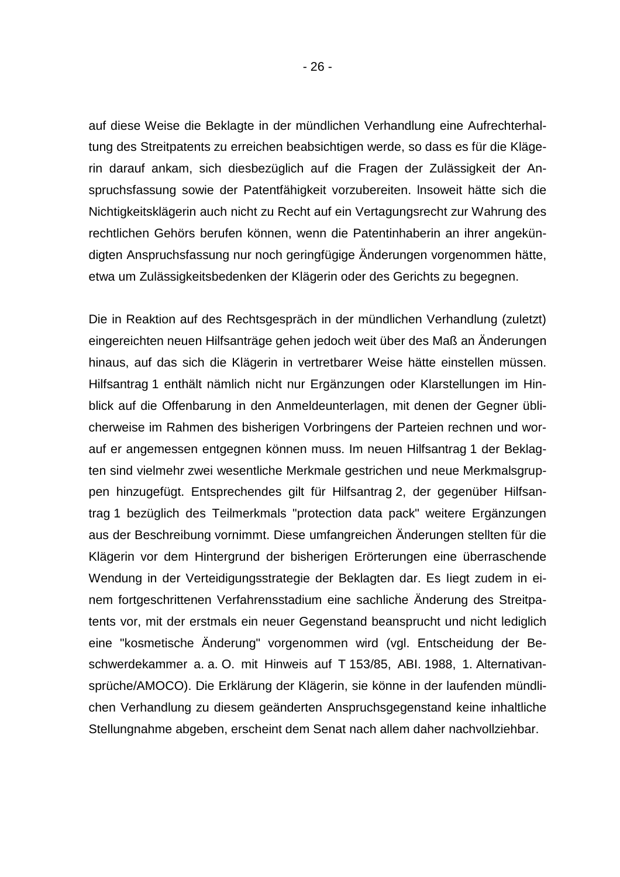auf diese Weise die Beklagte in der mündlichen Verhandlung eine Aufrechterhaltung des Streitpatents zu erreichen beabsichtigen werde, so dass es für die Klägerin darauf ankam, sich diesbezüglich auf die Fragen der Zulässigkeit der Anspruchsfassung sowie der Patentfähigkeit vorzubereiten. lnsoweit hätte sich die Nichtigkeitsklägerin auch nicht zu Recht auf ein Vertagungsrecht zur Wahrung des rechtlichen Gehörs berufen können, wenn die Patentinhaberin an ihrer angekündigten Anspruchsfassung nur noch geringfügige Änderungen vorgenommen hätte, etwa um Zulässigkeitsbedenken der Klägerin oder des Gerichts zu begegnen.

Die in Reaktion auf des Rechtsgespräch in der mündlichen Verhandlung (zuletzt) eingereichten neuen Hilfsanträge gehen jedoch weit über des Maß an Änderungen hinaus, auf das sich die Klägerin in vertretbarer Weise hätte einstellen müssen. Hilfsantrag 1 enthält nämlich nicht nur Ergänzungen oder Klarstellungen im Hinblick auf die Offenbarung in den Anmeldeunterlagen, mit denen der Gegner üblicherweise im Rahmen des bisherigen Vorbringens der Parteien rechnen und worauf er angemessen entgegnen können muss. Im neuen Hilfsantrag 1 der Beklagten sind vielmehr zwei wesentliche Merkmale gestrichen und neue Merkmalsgruppen hinzugefügt. Entsprechendes gilt für Hilfsantrag 2, der gegenüber Hilfsantrag 1 bezüglich des Teilmerkmals "protection data pack" weitere Ergänzungen aus der Beschreibung vornimmt. Diese umfangreichen Änderungen stellten für die Klägerin vor dem Hintergrund der bisherigen Erörterungen eine überraschende Wendung in der Verteidigungsstrategie der Beklagten dar. Es Iiegt zudem in einem fortgeschrittenen Verfahrensstadium eine sachliche Änderung des Streitpatents vor, mit der erstmals ein neuer Gegenstand beansprucht und nicht lediglich eine "kosmetische Änderung" vorgenommen wird (vgl. Entscheidung der Beschwerdekammer a. a. O. mit Hinweis auf T 153/85, ABI. 1988, 1. Alternativansprüche/AMOCO). Die Erklärung der Klägerin, sie könne in der laufenden mündlichen Verhandlung zu diesem geänderten Anspruchsgegenstand keine inhaltliche Stellungnahme abgeben, erscheint dem Senat nach allem daher nachvollziehbar.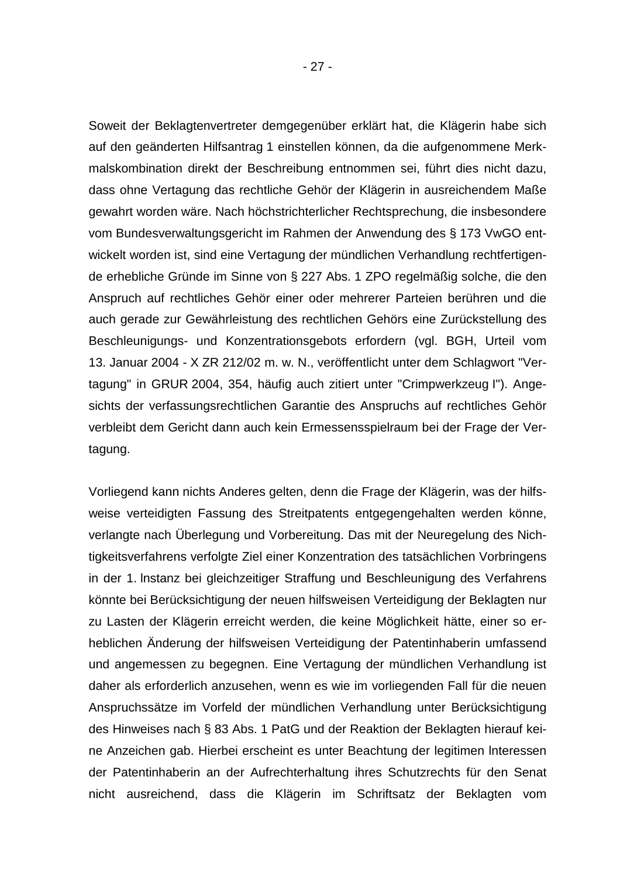Soweit der Beklagtenvertreter demgegenüber erklärt hat, die Klägerin habe sich auf den geänderten Hilfsantrag 1 einstellen können, da die aufgenommene Merkmalskombination direkt der Beschreibung entnommen sei, führt dies nicht dazu, dass ohne Vertagung das rechtliche Gehör der Klägerin in ausreichendem Maße gewahrt worden wäre. Nach höchstrichterlicher Rechtsprechung, die insbesondere vom Bundesverwaltungsgericht im Rahmen der Anwendung des § 173 VwGO entwickelt worden ist, sind eine Vertagung der mündlichen Verhandlung rechtfertigende erhebliche Gründe im Sinne von § 227 Abs. 1 ZPO regelmäßig solche, die den Anspruch auf rechtliches Gehör einer oder mehrerer Parteien berühren und die auch gerade zur Gewährleistung des rechtlichen Gehörs eine Zurückstellung des Beschleunigungs- und Konzentrationsgebots erfordern (vgl. BGH, Urteil vom 13. Januar 2004 - X ZR 212/02 m. w. N., veröffentlicht unter dem Schlagwort "Vertagung" in GRUR 2004, 354, häufig auch zitiert unter "Crimpwerkzeug I"). Angesichts der verfassungsrechtlichen Garantie des Anspruchs auf rechtliches Gehör verbleibt dem Gericht dann auch kein Ermessensspielraum bei der Frage der Vertagung.

Vorliegend kann nichts Anderes gelten, denn die Frage der Klägerin, was der hilfsweise verteidigten Fassung des Streitpatents entgegengehalten werden könne, verlangte nach Überlegung und Vorbereitung. Das mit der Neuregelung des Nichtigkeitsverfahrens verfolgte Ziel einer Konzentration des tatsächlichen Vorbringens in der 1. lnstanz bei gleichzeitiger Straffung und Beschleunigung des Verfahrens könnte bei Berücksichtigung der neuen hilfsweisen Verteidigung der Beklagten nur zu Lasten der Klägerin erreicht werden, die keine Möglichkeit hätte, einer so erheblichen Änderung der hilfsweisen Verteidigung der Patentinhaberin umfassend und angemessen zu begegnen. Eine Vertagung der mündlichen Verhandlung ist daher als erforderlich anzusehen, wenn es wie im vorliegenden Fall für die neuen Anspruchssätze im Vorfeld der mündlichen Verhandlung unter Berücksichtigung des Hinweises nach § 83 Abs. 1 PatG und der Reaktion der Beklagten hierauf keine Anzeichen gab. Hierbei erscheint es unter Beachtung der legitimen lnteressen der Patentinhaberin an der Aufrechterhaltung ihres Schutzrechts für den Senat nicht ausreichend, dass die Klägerin im Schriftsatz der Beklagten vom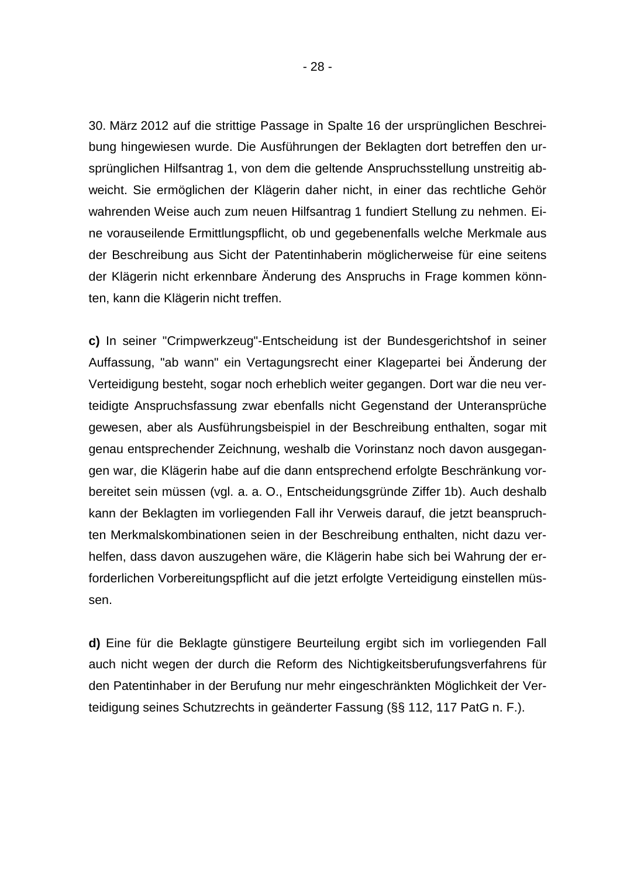30. März 2012 auf die strittige Passage in Spalte 16 der ursprünglichen Beschreibung hingewiesen wurde. Die Ausführungen der Beklagten dort betreffen den ursprünglichen Hilfsantrag 1, von dem die geltende Anspruchsstellung unstreitig abweicht. Sie ermöglichen der Klägerin daher nicht, in einer das rechtliche Gehör wahrenden Weise auch zum neuen Hilfsantrag 1 fundiert Stellung zu nehmen. Eine vorauseilende Ermittlungspflicht, ob und gegebenenfalls welche Merkmale aus der Beschreibung aus Sicht der Patentinhaberin möglicherweise für eine seitens der Klägerin nicht erkennbare Änderung des Anspruchs in Frage kommen könnten, kann die Klägerin nicht treffen.

**c)** In seiner "Crimpwerkzeug"-Entscheidung ist der Bundesgerichtshof in seiner Auffassung, "ab wann" ein Vertagungsrecht einer Klagepartei bei Änderung der Verteidigung besteht, sogar noch erheblich weiter gegangen. Dort war die neu verteidigte Anspruchsfassung zwar ebenfalls nicht Gegenstand der Unteransprüche gewesen, aber als Ausführungsbeispiel in der Beschreibung enthalten, sogar mit genau entsprechender Zeichnung, weshalb die Vorinstanz noch davon ausgegangen war, die Klägerin habe auf die dann entsprechend erfolgte Beschränkung vorbereitet sein müssen (vgl. a. a. O., Entscheidungsgründe Ziffer 1b). Auch deshalb kann der Beklagten im vorliegenden Fall ihr Verweis darauf, die jetzt beanspruchten Merkmalskombinationen seien in der Beschreibung enthalten, nicht dazu verhelfen, dass davon auszugehen wäre, die Klägerin habe sich bei Wahrung der erforderlichen Vorbereitungspflicht auf die jetzt erfolgte Verteidigung einstellen müssen.

**d)** Eine für die Beklagte günstigere Beurteilung ergibt sich im vorliegenden Fall auch nicht wegen der durch die Reform des Nichtigkeitsberufungsverfahrens für den Patentinhaber in der Berufung nur mehr eingeschränkten Möglichkeit der Verteidigung seines Schutzrechts in geänderter Fassung (§§ 112, 117 PatG n. F.).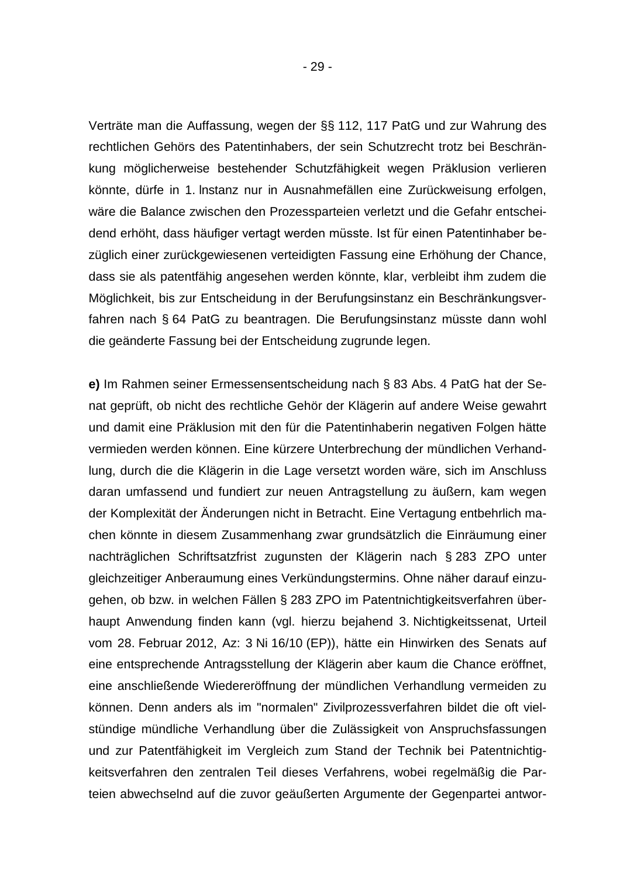- 29 -

Verträte man die Auffassung, wegen der §§ 112, 117 PatG und zur Wahrung des rechtlichen Gehörs des Patentinhabers, der sein Schutzrecht trotz bei Beschränkung möglicherweise bestehender Schutzfähigkeit wegen Präklusion verlieren könnte, dürfe in 1. lnstanz nur in Ausnahmefällen eine Zurückweisung erfolgen, wäre die Balance zwischen den Prozessparteien verletzt und die Gefahr entscheidend erhöht, dass häufiger vertagt werden müsste. Ist für einen Patentinhaber bezüglich einer zurückgewiesenen verteidigten Fassung eine Erhöhung der Chance, dass sie als patentfähig angesehen werden könnte, klar, verbleibt ihm zudem die Möglichkeit, bis zur Entscheidung in der Berufungsinstanz ein Beschränkungsverfahren nach § 64 PatG zu beantragen. Die Berufungsinstanz müsste dann wohl die geänderte Fassung bei der Entscheidung zugrunde legen.

**e)** Im Rahmen seiner Ermessensentscheidung nach § 83 Abs. 4 PatG hat der Senat geprüft, ob nicht des rechtliche Gehör der Klägerin auf andere Weise gewahrt und damit eine Präklusion mit den für die Patentinhaberin negativen Folgen hätte vermieden werden können. Eine kürzere Unterbrechung der mündlichen Verhandlung, durch die die Klägerin in die Lage versetzt worden wäre, sich im Anschluss daran umfassend und fundiert zur neuen Antragstellung zu äußern, kam wegen der Komplexität der Änderungen nicht in Betracht. Eine Vertagung entbehrlich machen könnte in diesem Zusammenhang zwar grundsätzlich die Einräumung einer nachträglichen Schriftsatzfrist zugunsten der Klägerin nach § 283 ZPO unter gleichzeitiger Anberaumung eines Verkündungstermins. Ohne näher darauf einzugehen, ob bzw. in welchen Fällen § 283 ZPO im Patentnichtigkeitsverfahren überhaupt Anwendung finden kann (vgl. hierzu bejahend 3. Nichtigkeitssenat, Urteil vom 28. Februar 2012, Az: 3 Ni 16/10 (EP)), hätte ein Hinwirken des Senats auf eine entsprechende Antragsstellung der Klägerin aber kaum die Chance eröffnet, eine anschließende Wiedereröffnung der mündlichen Verhandlung vermeiden zu können. Denn anders als im "normalen" Zivilprozessverfahren bildet die oft vielstündige mündliche Verhandlung über die Zulässigkeit von Anspruchsfassungen und zur Patentfähigkeit im Vergleich zum Stand der Technik bei Patentnichtigkeitsverfahren den zentralen Teil dieses Verfahrens, wobei regelmäßig die Parteien abwechselnd auf die zuvor geäußerten Argumente der Gegenpartei antwor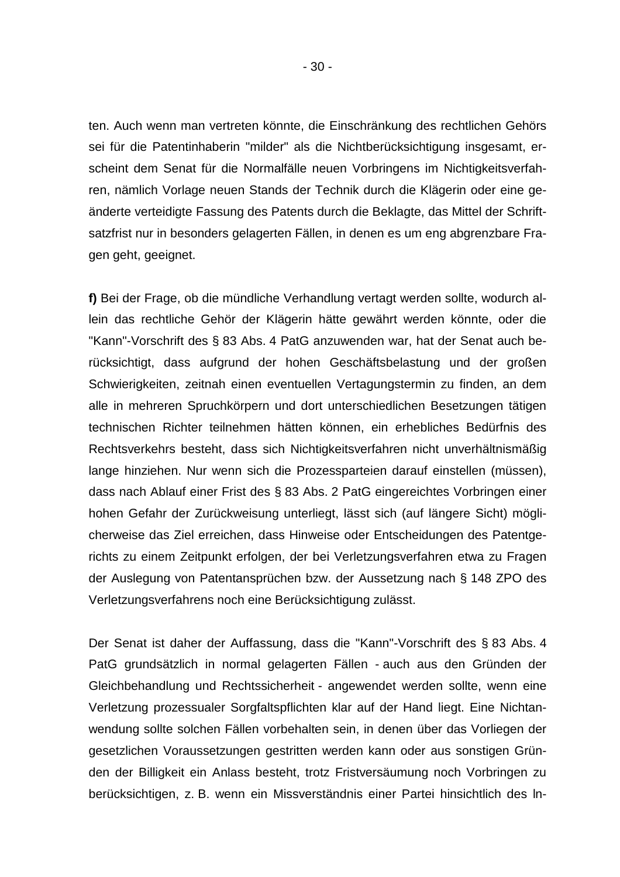ten. Auch wenn man vertreten könnte, die Einschränkung des rechtlichen Gehörs sei für die Patentinhaberin "milder" als die Nichtberücksichtigung insgesamt, erscheint dem Senat für die Normalfälle neuen Vorbringens im Nichtigkeitsverfahren, nämlich Vorlage neuen Stands der Technik durch die Klägerin oder eine geänderte verteidigte Fassung des Patents durch die Beklagte, das Mittel der Schriftsatzfrist nur in besonders gelagerten Fällen, in denen es um eng abgrenzbare Fragen geht, geeignet.

**f)** Bei der Frage, ob die mündliche Verhandlung vertagt werden sollte, wodurch allein das rechtliche Gehör der Klägerin hätte gewährt werden könnte, oder die "Kann"-Vorschrift des § 83 Abs. 4 PatG anzuwenden war, hat der Senat auch berücksichtigt, dass aufgrund der hohen Geschäftsbelastung und der großen Schwierigkeiten, zeitnah einen eventuellen Vertagungstermin zu finden, an dem alle in mehreren Spruchkörpern und dort unterschiedlichen Besetzungen tätigen technischen Richter teilnehmen hätten können, ein erhebliches Bedürfnis des Rechtsverkehrs besteht, dass sich Nichtigkeitsverfahren nicht unverhältnismäßig lange hinziehen. Nur wenn sich die Prozessparteien darauf einstellen (müssen), dass nach Ablauf einer Frist des § 83 Abs. 2 PatG eingereichtes Vorbringen einer hohen Gefahr der Zurückweisung unterliegt, lässt sich (auf längere Sicht) möglicherweise das Ziel erreichen, dass Hinweise oder Entscheidungen des Patentgerichts zu einem Zeitpunkt erfolgen, der bei Verletzungsverfahren etwa zu Fragen der Auslegung von Patentansprüchen bzw. der Aussetzung nach § 148 ZPO des Verletzungsverfahrens noch eine Berücksichtigung zulässt.

Der Senat ist daher der Auffassung, dass die "Kann"-Vorschrift des § 83 Abs. 4 PatG grundsätzlich in normal gelagerten Fällen - auch aus den Gründen der Gleichbehandlung und Rechtssicherheit - angewendet werden sollte, wenn eine Verletzung prozessualer Sorgfaltspflichten klar auf der Hand liegt. Eine Nichtanwendung sollte solchen Fällen vorbehalten sein, in denen über das Vorliegen der gesetzlichen Voraussetzungen gestritten werden kann oder aus sonstigen Gründen der Billigkeit ein Anlass besteht, trotz Fristversäumung noch Vorbringen zu berücksichtigen, z. B. wenn ein Missverständnis einer Partei hinsichtlich des ln-